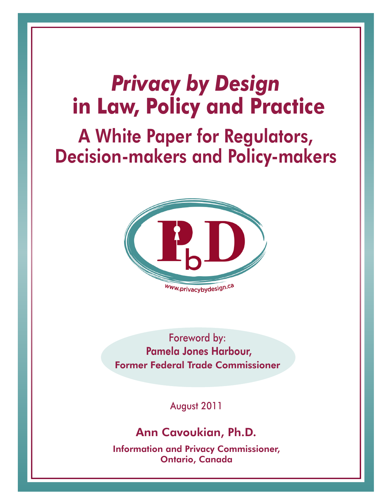# *Privacy by Design*  **in Law, Policy and Practice**

# A White Paper for Regulators, Decision-makers and Policy-makers



Foreword by: Pamela Jones Harbour, Former Federal Trade Commissioner

August 2011

### Ann Cavoukian, Ph.D.

Information and Privacy Commissioner, Ontario, Canada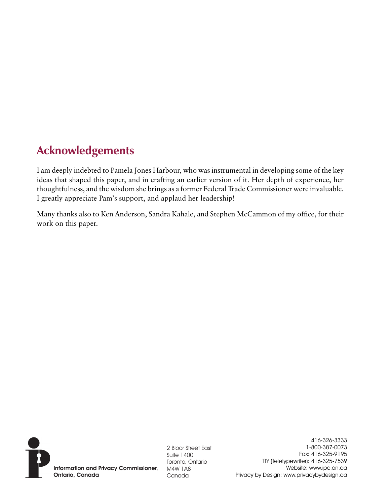# **Acknowledgements**

I am deeply indebted to Pamela Jones Harbour, who was instrumental in developing some of the key ideas that shaped this paper, and in crafting an earlier version of it. Her depth of experience, her thoughtfulness, and the wisdom she brings as a former Federal Trade Commissioner were invaluable. I greatly appreciate Pam's support, and applaud her leadership!

Many thanks also to Ken Anderson, Sandra Kahale, and Stephen McCammon of my office, for their work on this paper.



Information and Privacy Commissioner, Ontario, Canada

2 Bloor Street East Suite 1400 Toronto, Ontario M4W 1A8 Canada

416-326-3333 1-800-387-0073 Fax: 416-325-9195 TTY (Teletypewriter): 416-325-7539 Website: www.ipc.on.ca Privacy by Design: www.privacybydesign.ca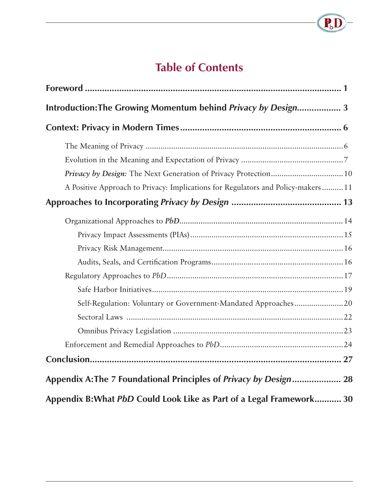# **Table of Contents**

 $\overline{\mathbf{P}_{b}}$ 

| Introduction: The Growing Momentum behind Privacy by Design 3                                                                                       |  |
|-----------------------------------------------------------------------------------------------------------------------------------------------------|--|
|                                                                                                                                                     |  |
|                                                                                                                                                     |  |
| Privacy by Design: The Next Generation of Privacy Protection 10<br>A Positive Approach to Privacy: Implications for Regulators and Policy-makers 11 |  |
|                                                                                                                                                     |  |
|                                                                                                                                                     |  |
|                                                                                                                                                     |  |
|                                                                                                                                                     |  |
|                                                                                                                                                     |  |
|                                                                                                                                                     |  |
|                                                                                                                                                     |  |
| Self-Regulation: Voluntary or Government-Mandated Approaches20                                                                                      |  |
|                                                                                                                                                     |  |
|                                                                                                                                                     |  |
|                                                                                                                                                     |  |
|                                                                                                                                                     |  |
| Appendix A: The 7 Foundational Principles of Privacy by Design 28                                                                                   |  |
| Appendix B: What PbD Could Look Like as Part of a Legal Framework 30                                                                                |  |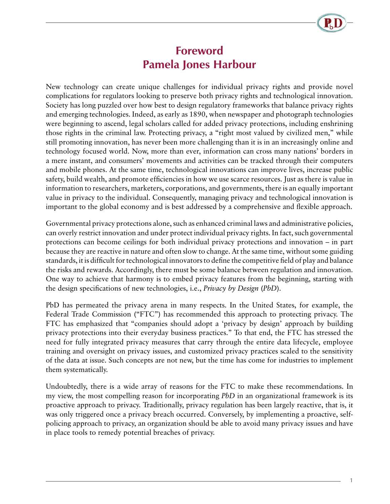### **Foreword Pamela Jones Harbour**

<span id="page-3-0"></span>New technology can create unique challenges for individual privacy rights and provide novel complications for regulators looking to preserve both privacy rights and technological innovation. Society has long puzzled over how best to design regulatory frameworks that balance privacy rights and emerging technologies. Indeed, as early as 1890, when newspaper and photograph technologies were beginning to ascend, legal scholars called for added privacy protections, including enshrining those rights in the criminal law. Protecting privacy, a "right most valued by civilized men," while still promoting innovation, has never been more challenging than it is in an increasingly online and technology focused world. Now, more than ever, information can cross many nations' borders in a mere instant, and consumers' movements and activities can be tracked through their computers and mobile phones. At the same time, technological innovations can improve lives, increase public safety, build wealth, and promote efficiencies in how we use scarce resources. Just as there is value in information to researchers, marketers, corporations, and governments, there is an equally important value in privacy to the individual. Consequently, managing privacy and technological innovation is important to the global economy and is best addressed by a comprehensive and flexible approach.

Governmental privacy protections alone, such as enhanced criminal laws and administrative policies, can overly restrict innovation and under protect individual privacy rights. In fact, such governmental protections can become ceilings for both individual privacy protections and innovation – in part because they are reactive in nature and often slow to change. At the same time, without some guiding standards, it is difficult for technological innovators to define the competitive field of play and balance the risks and rewards. Accordingly, there must be some balance between regulation and innovation. One way to achieve that harmony is to embed privacy features from the beginning, starting with the design specifications of new technologies, i.e., *Privacy by Design* (*PbD*).

PbD has permeated the privacy arena in many respects. In the United States, for example, the Federal Trade Commission ("FTC") has recommended this approach to protecting privacy. The FTC has emphasized that "companies should adopt a 'privacy by design' approach by building privacy protections into their everyday business practices." To that end, the FTC has stressed the need for fully integrated privacy measures that carry through the entire data lifecycle, employee training and oversight on privacy issues, and customized privacy practices scaled to the sensitivity of the data at issue. Such concepts are not new, but the time has come for industries to implement them systematically.

Undoubtedly, there is a wide array of reasons for the FTC to make these recommendations. In my view, the most compelling reason for incorporating *PbD* in an organizational framework is its proactive approach to privacy. Traditionally, privacy regulation has been largely reactive, that is, it was only triggered once a privacy breach occurred. Conversely, by implementing a proactive, selfpolicing approach to privacy, an organization should be able to avoid many privacy issues and have in place tools to remedy potential breaches of privacy.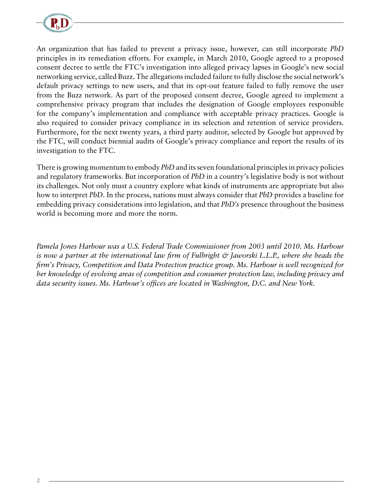

An organization that has failed to prevent a privacy issue, however, can still incorporate *PbD* principles in its remediation efforts. For example, in March 2010, Google agreed to a proposed consent decree to settle the FTC's investigation into alleged privacy lapses in Google's new social networking service, called Buzz. The allegations included failure to fully disclose the social network's default privacy settings to new users, and that its opt-out feature failed to fully remove the user from the Buzz network. As part of the proposed consent decree, Google agreed to implement a comprehensive privacy program that includes the designation of Google employees responsible for the company's implementation and compliance with acceptable privacy practices. Google is also required to consider privacy compliance in its selection and retention of service providers. Furthermore, for the next twenty years, a third party auditor, selected by Google but approved by the FTC, will conduct biennial audits of Google's privacy compliance and report the results of its investigation to the FTC.

There is growing momentum to embody *PbD* and its seven foundational principles in privacy policies and regulatory frameworks. But incorporation of *PbD* in a country's legislative body is not without its challenges. Not only must a country explore what kinds of instruments are appropriate but also how to interpret *PbD*. In the process, nations must always consider that *PbD* provides a baseline for embedding privacy considerations into legislation, and that *PbD's* presence throughout the business world is becoming more and more the norm.

*Pamela Jones Harbour was a U.S. Federal Trade Commissioner from 2003 until 2010. Ms. Harbour is now a partner at the international law firm of Fulbright & Jaworski L.L.P., where she heads the firm's Privacy, Competition and Data Protection practice group. Ms. Harbour is well recognized for her knowledge of evolving areas of competition and consumer protection law, including privacy and data security issues. Ms. Harbour's offices are located in Washington, D.C. and New York.*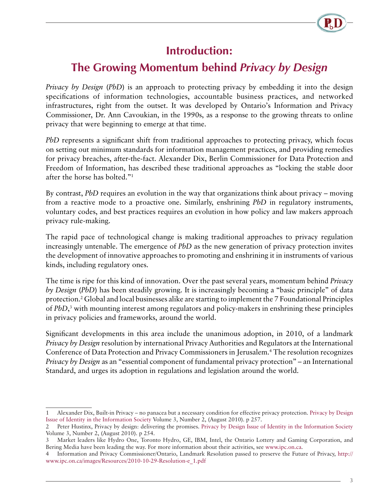### **Introduction:**

## <span id="page-5-0"></span>**The Growing Momentum behind** *Privacy by Design*

*Privacy by Design* (*PbD*) is an approach to protecting privacy by embedding it into the design specifications of information technologies, accountable business practices, and networked infrastructures, right from the outset. It was developed by Ontario's Information and Privacy Commissioner, Dr. Ann Cavoukian, in the 1990s, as a response to the growing threats to online privacy that were beginning to emerge at that time.

*PbD* represents a significant shift from traditional approaches to protecting privacy, which focus on setting out minimum standards for information management practices, and providing remedies for privacy breaches, after-the-fact. Alexander Dix, Berlin Commissioner for Data Protection and Freedom of Information, has described these traditional approaches as "locking the stable door after the horse has bolted."1

By contrast, *PbD* requires an evolution in the way that organizations think about privacy – moving from a reactive mode to a proactive one. Similarly, enshrining *PbD* in regulatory instruments, voluntary codes, and best practices requires an evolution in how policy and law makers approach privacy rule-making.

The rapid pace of technological change is making traditional approaches to privacy regulation increasingly untenable. The emergence of *PbD* as the new generation of privacy protection invites the development of innovative approaches to promoting and enshrining it in instruments of various kinds, including regulatory ones.

The time is ripe for this kind of innovation. Over the past several years, momentum behind *Privacy by Design* (*PbD*) has been steadily growing. It is increasingly becoming a "basic principle" of data protection.2 Global and local businesses alike are starting to implement the 7 Foundational Principles of *PbD*, 3 with mounting interest among regulators and policy-makers in enshrining these principles in privacy policies and frameworks, around the world.

Significant developments in this area include the unanimous adoption, in 2010, of a landmark *Privacy by Design* resolution by international Privacy Authorities and Regulators at the International Conference of Data Protection and Privacy Commissioners in Jerusalem.<sup>4</sup> The resolution recognizes *Privacy by Design* as an "essential component of fundamental privacy protection" – an International Standard, and urges its adoption in regulations and legislation around the world.

<sup>1</sup> Alexander Dix, Built-in Privacy – no panacea but a necessary condition for effective privacy protection. [Privacy by Design](http://www.springerlink.com/content/1876-0678/) [Issue of Identity in the Information Society](http://www.springerlink.com/content/1876-0678/) Volume 3, Number 2, (August 2010). p 257.

<sup>2</sup> Peter Hustinx, Privacy by design: delivering the promises. [Privacy by Design Issue of Identity in the Information Society](http://www.springerlink.com/content/1876-0678/) Volume 3, Number 2, (August 2010). p 254.

<sup>3</sup> Market leaders like Hydro One, Toronto Hydro, GE, IBM, Intel, the Ontario Lottery and Gaming Corporation, and Bering Media have been leading the way. For more information about their activities, see [www.ipc.on.ca](file://IPC-SRV-FS01/DOC/Publish/Comm/ENGLISH/papers/www.ipc.on.ca).

<sup>4</sup> Information and Privacy Commissioner/Ontario, Landmark Resolution passed to preserve the Future of Privacy, [http://](http://www.ipc.on.ca/images/Resources/2010-10-29-Resolution-e_1.pdf) [www.ipc.on.ca/images/Resources/2010-10-29-Resolution-e\\_1.pdf](http://www.ipc.on.ca/images/Resources/2010-10-29-Resolution-e_1.pdf)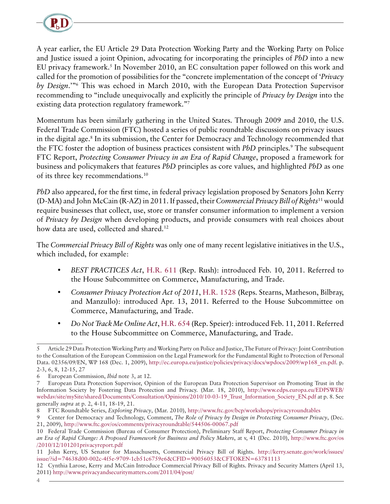

A year earlier, the EU Article 29 Data Protection Working Party and the Working Party on Police and Justice issued a joint Opinion, advocating for incorporating the principles of *PbD* into a new EU privacy framework.<sup>5</sup> In November 2010, an EC consultation paper followed on this work and called for the promotion of possibilities for the "concrete implementation of the concept of '*Privacy by Design*.'"6 This was echoed in March 2010, with the European Data Protection Supervisor recommending to "include unequivocally and explicitly the principle of *Privacy by Design* into the existing data protection regulatory framework."7

Momentum has been similarly gathering in the United States. Through 2009 and 2010, the U.S. Federal Trade Commission (FTC) hosted a series of public roundtable discussions on privacy issues in the digital age.<sup>8</sup> In its submission, the Center for Democracy and Technology recommended that the FTC foster the adoption of business practices consistent with *PbD* principles.<sup>9</sup> The subsequent FTC Report, *Protecting Consumer Privacy in an Era of Rapid Change*, proposed a framework for business and policymakers that features *PbD* principles as core values, and highlighted *PbD* as one of its three key recommendations.10

*PbD* also appeared, for the first time, in federal privacy legislation proposed by Senators John Kerry (D-MA) and John McCain (R-AZ) in 2011. If passed, their *Commercial Privacy Bill of Rights*11 would require businesses that collect, use, store or transfer consumer information to implement a version of *Privacy by Design* when developing products, and provide consumers with real choices about how data are used, collected and shared.<sup>12</sup>

The *Commercial Privacy Bill of Rights* was only one of many recent legislative initiatives in the U.S., which included, for example:

- *BEST PRACTICES Act*, [H.R. 611](http://www.gpo.gov/fdsys/pkg/BILLS-112hr611ih/pdf/BILLS-112hr611ih.pdf) (Rep. Rush): introduced Feb. 10, 2011. Referred to the House Subcommittee on Commerce, Manufacturing, and Trade.
- *Consumer Privacy Protection Act of 2011*, [H.R. 1528](http://www.gpo.gov/fdsys/pkg/BILLS-112hr1528ih/pdf/BILLS-112hr1528ih.pdf) (Reps. Stearns, Matheson, Bilbray, and Manzullo): introduced Apr. 13, 2011. Referred to the House Subcommittee on Commerce, Manufacturing, and Trade.
- *Do Not Track Me Online Act*, [H.R. 654](http://www.gpo.gov/fdsys/pkg/BILLS-112hr654ih/pdf/BILLS-112hr654ih.pdf) (Rep. Speier): introduced Feb. 11, 2011. Referred to the House Subcommittee on Commerce, Manufacturing, and Trade.

<sup>5</sup> Article 29 Data Protection Working Party and Working Party on Police and Justice, The Future of Privacy: Joint Contribution to the Consultation of the European Commission on the Legal Framework for the Fundamental Right to Protection of Personal Data. 02356/09/EN, WP 168 (Dec. 1, 2009), [http://ec.europa.eu/justice/policies/privacy/docs/wpdocs/2009/wp168\\_en.pdf.](http://ec.europa.eu/justice/policies/privacy/docs/wpdocs/2009/wp168_en.pdf) p. 2-3, 6, 8, 12-15, 27

<sup>6</sup> European Commission, *Ibid* note 3, at 12.

<sup>7</sup> European Data Protection Supervisor, Opinion of the European Data Protection Supervisor on Promoting Trust in the Information Society by Fostering Data Protection and Privacy. (Mar. 18, 2010), [http://www.edps.europa.eu/EDPSWEB/](http://www.edps.europa.eu/EDPSWEB/webdav/site/mySite/shared/Documents/Consultation/Opinions/2010/10-03-19_Trust_Information_Society_EN.pdf ) [webdav/site/mySite/shared/Documents/Consultation/Opinions/2010/10-03-19\\_Trust\\_Information\\_Society\\_EN.pdf](http://www.edps.europa.eu/EDPSWEB/webdav/site/mySite/shared/Documents/Consultation/Opinions/2010/10-03-19_Trust_Information_Society_EN.pdf ) at p. 8. See generally *supra* at p. 2, 4-11, 18-19, 21.

<sup>8</sup> FTC Roundtable Series, *Exploring Privacy*, (Mar. 2010), <http://www.ftc.gov/bcp/workshops/privacyroundtables>

<sup>9</sup> Center for Democracy and Technology, Comment, *The Role of Privacy by Design in Protecting Consumer Privacy*, (Dec. 21, 2009), <http://www.ftc.gov/os/comments/privacyroundtable/544506-00067.pdf>

<sup>10</sup> Federal Trade Commission (Bureau of Consumer Protection), Preliminary Staff Report, *Protecting Consumer Privacy in an Era of Rapid Change: A Proposed Framework for Business and Policy Makers*, at v, 41 (Dec. 2010), [http://www.ftc.gov/os](http://www.ftc.gov/os /2010/12/101201privacyreport.pdf)  [/2010/12/101201privacyreport.pdf](http://www.ftc.gov/os /2010/12/101201privacyreport.pdf)

<sup>11</sup> John Kerry, US Senator for Massachusetts, Commercial Privacy Bill of Rights. [http://kerry.senate.gov/work/issues/](http://kerry.senate.gov/work/issues/issue/?id=74638d00-002c-4f5e-9709-1cb51c6759e6&CFID=90056053&CFTOKEN=63781113) [issue/?id=74638d00-002c-4f5e-9709-1cb51c6759e6&CFID=90056053&CFTOKEN=63781113](http://kerry.senate.gov/work/issues/issue/?id=74638d00-002c-4f5e-9709-1cb51c6759e6&CFID=90056053&CFTOKEN=63781113)

<sup>12</sup> Cynthia Larose, Kerry and McCain Introduce Commercial Privacy Bill of Rights. Privacy and Security Matters (April 13, 2011) [http://www.privacyandsecuritymatters.com/2011/04/post/](http://www.privacyandsecuritymatters.com/2011/04/post/  )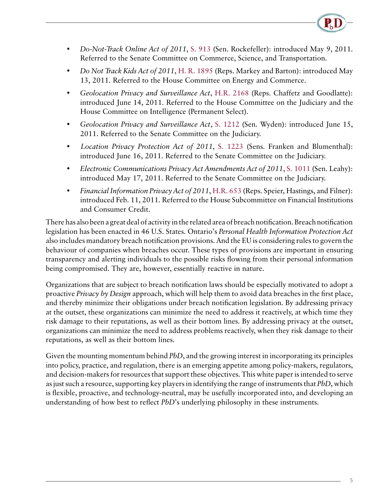

- *Do-Not-Track Online Act of 2011*, [S. 913](http://www.gpo.gov/fdsys/pkg/BILLS-112s913is/pdf/BILLS-112s913is.pdf) (Sen. Rockefeller): introduced May 9, 2011. Referred to the Senate Committee on Commerce, Science, and Transportation.
- *Do Not Track Kids Act of 2011*, [H. R. 1895](http://www.gpo.gov/fdsys/pkg/BILLS-112hr1895ih/pdf/BILLS-112hr1895ih.pdf) (Reps. Markey and Barton): introduced May 13, 2011. Referred to the House Committee on Energy and Commerce.
- *Geolocation Privacy and Surveillance Act*, [H.R. 2168](http://www.gpo.gov/fdsys/pkg/BILLS-112hr2168ih/pdf/BILLS-112hr2168ih.pdf) (Reps. Chaffetz and Goodlatte): introduced June 14, 2011. Referred to the House Committee on the Judiciary and the House Committee on Intelligence (Permanent Select).
- *Geolocation Privacy and Surveillance Act*, [S. 1212](http://www.gpo.gov/fdsys/pkg/BILLS-112s1212is/pdf/BILLS-112s1212is.pdf) (Sen. Wyden): introduced June 15, 2011. Referred to the Senate Committee on the Judiciary.
- Location Privacy Protection Act of 2011, [S. 1223](http://thomas.loc.gov/cgi-bin/query/z?c112:S.1223) (Sens. Franken and Blumenthal): introduced June 16, 2011. Referred to the Senate Committee on the Judiciary.
- *Electronic Communications Privacy Act Amendments Act of 2011*, [S. 1011](http://www.gpo.gov/fdsys/pkg/BILLS-112s1011is/pdf/BILLS-112s1011is.pdf) (Sen. Leahy): introduced May 17, 2011. Referred to the Senate Committee on the Judiciary.
- *Financial Information Privacy Act of 2011*, [H.R. 653](http://www.gpo.gov/fdsys/pkg/BILLS-112hr653ih/pdf/BILLS-112hr653ih.pdf) (Reps. Speier, Hastings, and Filner): introduced Feb. 11, 2011. Referred to the House Subcommittee on Financial Institutions and Consumer Credit.

There has also been a great deal of activity in the related area of breach notification. Breach notification legislation has been enacted in 46 U.S. States. Ontario's *Personal Health Information Protection Act* also includes mandatory breach notification provisions. And the EU is considering rules to govern the behaviour of companies when breaches occur. These types of provisions are important in ensuring transparency and alerting individuals to the possible risks flowing from their personal information being compromised. They are, however, essentially reactive in nature.

Organizations that are subject to breach notification laws should be especially motivated to adopt a proactive *Privacy by Design* approach, which will help them to avoid data breaches in the first place, and thereby minimize their obligations under breach notification legislation. By addressing privacy at the outset, these organizations can minimize the need to address it reactively, at which time they risk damage to their reputations, as well as their bottom lines. By addressing privacy at the outset, organizations can minimize the need to address problems reactively, when they risk damage to their reputations, as well as their bottom lines.

Given the mounting momentum behind *PbD*, and the growing interest in incorporating its principles into policy, practice, and regulation, there is an emerging appetite among policy-makers, regulators, and decision-makers for resources that support these objectives. This white paper is intended to serve as just such a resource, supporting key players in identifying the range of instruments that *PbD*, which is flexible, proactive, and technology-neutral, may be usefully incorporated into, and developing an understanding of how best to reflect *PbD*'s underlying philosophy in these instruments.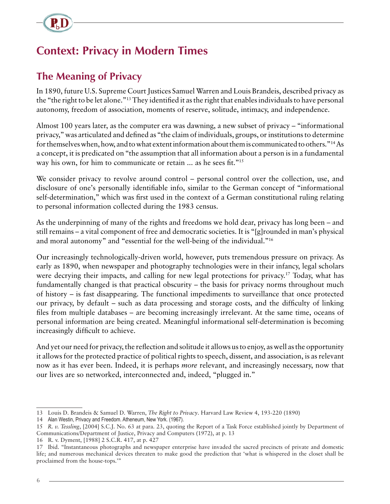<span id="page-8-0"></span>

# **Context: Privacy in Modern Times**

### **The Meaning of Privacy**

In 1890, future U.S. Supreme Court Justices Samuel Warren and Louis Brandeis, described privacy as the "the right to be let alone."13 They identified it as the right that enables individuals to have personal autonomy, freedom of association, moments of reserve, solitude, intimacy, and independence.

Almost 100 years later, as the computer era was dawning, a new subset of privacy – "informational privacy," was articulated and defined as "the claim of individuals, groups, or institutions to determine for themselves when, how, and to what extent information about them is communicated to others."14 As a concept, it is predicated on "the assumption that all information about a person is in a fundamental way his own, for him to communicate or retain ... as he sees fit."<sup>15</sup>

We consider privacy to revolve around control – personal control over the collection, use, and disclosure of one's personally identifiable info, similar to the German concept of "informational self-determination," which was first used in the context of a German constitutional ruling relating to personal information collected during the 1983 census.

As the underpinning of many of the rights and freedoms we hold dear, privacy has long been – and still remains – a vital component of free and democratic societies. It is "[g]rounded in man's physical and moral autonomy" and "essential for the well-being of the individual."16

Our increasingly technologically-driven world, however, puts tremendous pressure on privacy. As early as 1890, when newspaper and photography technologies were in their infancy, legal scholars were decrying their impacts, and calling for new legal protections for privacy.<sup>17</sup> Today, what has fundamentally changed is that practical obscurity – the basis for privacy norms throughout much of history – is fast disappearing. The functional impediments to surveillance that once protected our privacy, by default – such as data processing and storage costs, and the difficulty of linking files from multiple databases – are becoming increasingly irrelevant. At the same time, oceans of personal information are being created. Meaningful informational self-determination is becoming increasingly difficult to achieve.

And yet our need for privacy, the reflection and solitude it allows us to enjoy, as well as the opportunity it allows for the protected practice of political rights to speech, dissent, and association, is as relevant now as it has ever been. Indeed, it is perhaps *more* relevant, and increasingly necessary, now that our lives are so networked, interconnected and, indeed, "plugged in."

<sup>13</sup> Louis D. Brandeis & Samuel D. Warren, *The Right to Privacy*. Harvard Law Review 4, 193-220 (1890)

<sup>14</sup> Alan Westin, Privacy and Freedom. Atheneum, New York. (1967).

<sup>15</sup> *R. v. Tessling*, [2004] S.C.J. No. 63 at para. 23, quoting the Report of a Task Force established jointly by Department of Communications/Department of Justice, Privacy and Computers (1972), at p. 13

<sup>16</sup> R. v. Dyment, [1988] 2 S.C.R. 417, at p. 427

<sup>17</sup> Ibid. "Instantaneous photographs and newspaper enterprise have invaded the sacred precincts of private and domestic life; and numerous mechanical devices threaten to make good the prediction that 'what is whispered in the closet shall be proclaimed from the house-tops.'"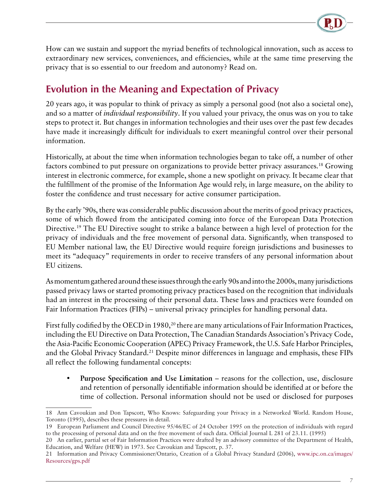

<span id="page-9-0"></span>How can we sustain and support the myriad benefits of technological innovation, such as access to extraordinary new services, conveniences, and efficiencies, while at the same time preserving the privacy that is so essential to our freedom and autonomy? Read on.

### **Evolution in the Meaning and Expectation of Privacy**

20 years ago, it was popular to think of privacy as simply a personal good (not also a societal one), and so a matter of *individual responsibility*. If you valued your privacy, the onus was on you to take steps to protect it. But changes in information technologies and their uses over the past few decades have made it increasingly difficult for individuals to exert meaningful control over their personal information.

Historically, at about the time when information technologies began to take off, a number of other factors combined to put pressure on organizations to provide better privacy assurances.18 Growing interest in electronic commerce, for example, shone a new spotlight on privacy. It became clear that the fulfillment of the promise of the Information Age would rely, in large measure, on the ability to foster the confidence and trust necessary for active consumer participation.

By the early '90s, there was considerable public discussion about the merits of good privacy practices, some of which flowed from the anticipated coming into force of the European Data Protection Directive.19 The EU Directive sought to strike a balance between a high level of protection for the privacy of individuals and the free movement of personal data. Significantly, when transposed to EU Member national law, the EU Directive would require foreign jurisdictions and businesses to meet its "adequacy" requirements in order to receive transfers of any personal information about EU citizens.

As momentum gathered around these issues through the early 90s and into the 2000s, many jurisdictions passed privacy laws or started promoting privacy practices based on the recognition that individuals had an interest in the processing of their personal data. These laws and practices were founded on Fair Information Practices (FIPs) – universal privacy principles for handling personal data.

First fully codified by the OECD in 1980,<sup>20</sup> there are many articulations of Fair Information Practices, including the EU Directive on Data Protection, The Canadian Standards Association's Privacy Code, the Asia-Pacific Economic Cooperation (APEC) Privacy Framework, the U.S. Safe Harbor Principles, and the Global Privacy Standard.<sup>21</sup> Despite minor differences in language and emphasis, these FIPs all reflect the following fundamental concepts:

• **Purpose Specification and Use Limitation** – reasons for the collection, use, disclosure and retention of personally identifiable information should be identified at or before the time of collection. Personal information should not be used or disclosed for purposes

<sup>18</sup> Ann Cavoukian and Don Tapscott, Who Knows: Safeguarding your Privacy in a Networked World. Random House, Toronto (1995), describes these pressures in detail.

<sup>19</sup> European Parliament and Council Directive 95/46/EC of 24 October 1995 on the protection of individuals with regard to the processing of personal data and on the free movement of such data. Official Journal L 281 of 23.11. (1995)

<sup>20</sup> An earlier, partial set of Fair Information Practices were drafted by an advisory committee of the Department of Health, Education, and Welfare (HEW) in 1973. See Cavoukian and Tapscott, p. 37.

<sup>21</sup> Information and Privacy Commissioner/Ontario, Creation of a Global Privacy Standard (2006), [www.ipc.on.ca/images/](http://www.ipc.on.ca/images/Resources/gps.pdf) [Resources/gps.pdf](http://www.ipc.on.ca/images/Resources/gps.pdf)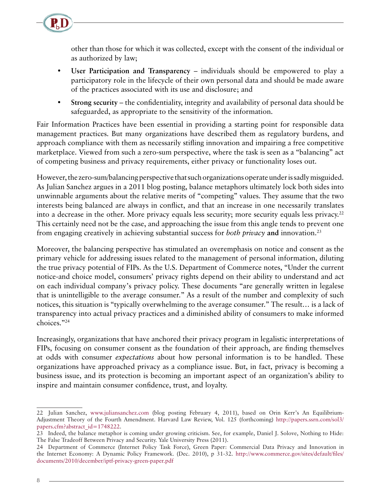other than those for which it was collected, except with the consent of the individual or as authorized by law;

- **User Participation and Transparency** individuals should be empowered to play a participatory role in the lifecycle of their own personal data and should be made aware of the practices associated with its use and disclosure; and
- **Strong security** the confidentiality, integrity and availability of personal data should be safeguarded, as appropriate to the sensitivity of the information.

Fair Information Practices have been essential in providing a starting point for responsible data management practices. But many organizations have described them as regulatory burdens, and approach compliance with them as necessarily stifling innovation and impairing a free competitive marketplace. Viewed from such a zero-sum perspective, where the task is seen as a "balancing" act of competing business and privacy requirements, either privacy or functionality loses out.

However, the zero-sum/balancing perspective that such organizations operate under is sadly misguided. As Julian Sanchez argues in a 2011 blog posting, balance metaphors ultimately lock both sides into unwinnable arguments about the relative merits of "competing" values. They assume that the two interests being balanced are always in conflict, and that an increase in one necessarily translates into a decrease in the other. More privacy equals less security; more security equals less privacy.<sup>22</sup> This certainly need not be the case, and approaching the issue from this angle tends to prevent one from engaging creatively in achieving substantial success for *both privacy* **and** innovation.23

Moreover, the balancing perspective has stimulated an overemphasis on notice and consent as the primary vehicle for addressing issues related to the management of personal information, diluting the true privacy potential of FIPs. As the U.S. Department of Commerce notes, "Under the current notice-and choice model, consumers' privacy rights depend on their ability to understand and act on each individual company's privacy policy. These documents "are generally written in legalese that is unintelligible to the average consumer." As a result of the number and complexity of such notices, this situation is "typically overwhelming to the average consumer." The result… is a lack of transparency into actual privacy practices and a diminished ability of consumers to make informed choices."24

Increasingly, organizations that have anchored their privacy program in legalistic interpretations of FIPs, focusing on consumer consent as the foundation of their approach, are finding themselves at odds with consumer *expectations* about how personal information is to be handled. These organizations have approached privacy as a compliance issue. But, in fact, privacy is becoming a business issue, and its protection is becoming an important aspect of an organization's ability to inspire and maintain consumer confidence, trust, and loyalty.

<sup>22</sup> Julian Sanchez, [www.juliansanchez.com](http://www.juliansanchez.com) (blog posting February 4, 2011), based on Orin Kerr's An Equilibrium-Adjustment Theory of the Fourth Amendment. Harvard Law Review, Vol. 125 (forthcoming) [http://papers.ssrn.com/sol3/](http://papers.ssrn.com/sol3/papers.cfm?abstract_id=1748222) [papers.cfm?abstract\\_id=1748222](http://papers.ssrn.com/sol3/papers.cfm?abstract_id=1748222).

<sup>23</sup> Indeed, the balance metaphor is coming under growing criticism. See, for example, Daniel J. Solove, Nothing to Hide: The False Tradeoff Between Privacy and Security. Yale University Press (2011).

<sup>24</sup> Department of Commerce (Internet Policy Task Force), Green Paper: Commercial Data Privacy and Innovation in the Internet Economy: A Dynamic Policy Framework. (Dec. 2010), p 31-32. [http://www.commerce.gov/sites/default/files/](http://www.commerce.gov/sites/default/files/documents/2010/december/iptf-privacy-green-paper.pdf  ) [documents/2010/december/iptf-privacy-green-paper.pdf](http://www.commerce.gov/sites/default/files/documents/2010/december/iptf-privacy-green-paper.pdf  )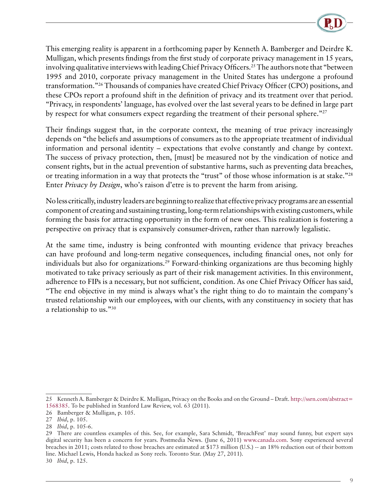

This emerging reality is apparent in a forthcoming paper by Kenneth A. Bamberger and Deirdre K. Mulligan, which presents findings from the first study of corporate privacy management in 15 years, involving qualitative interviews with leading Chief Privacy Officers.<sup>25</sup> The authors note that "between 1995 and 2010, corporate privacy management in the United States has undergone a profound transformation."26 Thousands of companies have created Chief Privacy Officer (CPO) positions, and these CPOs report a profound shift in the definition of privacy and its treatment over that period. "Privacy, in respondents' language, has evolved over the last several years to be defined in large part by respect for what consumers expect regarding the treatment of their personal sphere."<sup>27</sup>

Their findings suggest that, in the corporate context, the meaning of true privacy increasingly depends on "the beliefs and assumptions of consumers as to the appropriate treatment of individual information and personal identity – expectations that evolve constantly and change by context. The success of privacy protection, then, [must] be measured not by the vindication of notice and consent rights, but in the actual prevention of substantive harms, such as preventing data breaches, or treating information in a way that protects the "trust" of those whose information is at stake."28 Enter *Privacy by Design*, who's raison d'etre is to prevent the harm from arising.

No less critically, industry leaders are beginning to realize that effective privacy programs are an essential component of creating and sustaining trusting, long-term relationships with existing customers, while forming the basis for attracting opportunity in the form of new ones. This realization is fostering a perspective on privacy that is expansively consumer-driven, rather than narrowly legalistic.

At the same time, industry is being confronted with mounting evidence that privacy breaches can have profound and long-term negative consequences, including financial ones, not only for individuals but also for organizations.<sup>29</sup> Forward-thinking organizations are thus becoming highly motivated to take privacy seriously as part of their risk management activities. In this environment, adherence to FIPs is a necessary, but not sufficient, condition. As one Chief Privacy Officer has said, "The end objective in my mind is always what's the right thing to do to maintain the company's trusted relationship with our employees, with our clients, with any constituency in society that has a relationship to us."30

<sup>25</sup> Kenneth A. Bamberger & Deirdre K. Mulligan, Privacy on the Books and on the Ground – Draft. [http://ssrn.com/abstract=](http://ssrn.com/abstract= 1568385) [1568385](http://ssrn.com/abstract= 1568385). To be published in Stanford Law Review, vol. 63 (2011).

<sup>26</sup> Bamberger & Mulligan, p. 105.

<sup>27</sup> *Ibid*, p. 105.

<sup>28</sup> *Ibid*, p. 105-6.

<sup>29</sup> There are countless examples of this. See, for example, Sara Schmidt, 'BreachFest' may sound funny, but expert says digital security has been a concern for years. Postmedia News. (June 6, 2011) [www.canada.com](http://www.canada.com). Sony experienced several breaches in 2011; costs related to those breaches are estimated at \$173 million (U.S.) -- an 18% reduction out of their bottom line. Michael Lewis, Honda hacked as Sony reels. Toronto Star. (May 27, 2011).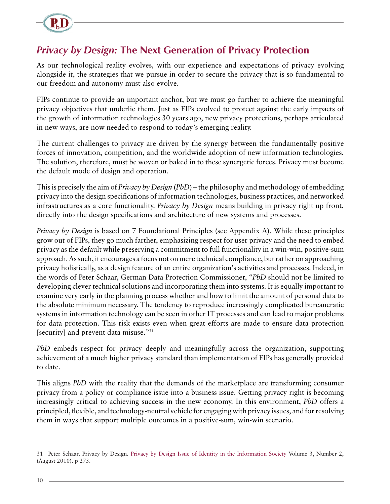<span id="page-12-0"></span>

### *Privacy by Design:* **The Next Generation of Privacy Protection**

As our technological reality evolves, with our experience and expectations of privacy evolving alongside it, the strategies that we pursue in order to secure the privacy that is so fundamental to our freedom and autonomy must also evolve.

FIPs continue to provide an important anchor, but we must go further to achieve the meaningful privacy objectives that underlie them. Just as FIPs evolved to protect against the early impacts of the growth of information technologies 30 years ago, new privacy protections, perhaps articulated in new ways, are now needed to respond to today's emerging reality.

The current challenges to privacy are driven by the synergy between the fundamentally positive forces of innovation, competition, and the worldwide adoption of new information technologies. The solution, therefore, must be woven or baked in to these synergetic forces. Privacy must become the default mode of design and operation.

This is precisely the aim of *Privacy by Design* (*PbD*) – the philosophy and methodology of embedding privacy into the design specifications of information technologies, business practices, and networked infrastructures as a core functionality. *Privacy by Design* means building in privacy right up front, directly into the design specifications and architecture of new systems and processes.

*Privacy by Design* is based on 7 Foundational Principles (see Appendix A). While these principles grow out of FIPs, they go much farther, emphasizing respect for user privacy and the need to embed privacy as the default while preserving a commitment to full functionality in a win-win, positive-sum approach. As such, it encourages a focus not on mere technical compliance, but rather on approaching privacy holistically, as a design feature of an entire organization's activities and processes. Indeed, in the words of Peter Schaar, German Data Protection Commissioner, "*PbD* should not be limited to developing clever technical solutions and incorporating them into systems. It is equally important to examine very early in the planning process whether and how to limit the amount of personal data to the absolute minimum necessary. The tendency to reproduce increasingly complicated bureaucratic systems in information technology can be seen in other IT processes and can lead to major problems for data protection. This risk exists even when great efforts are made to ensure data protection [security] and prevent data misuse."<sup>31</sup>

*PbD* embeds respect for privacy deeply and meaningfully across the organization, supporting achievement of a much higher privacy standard than implementation of FIPs has generally provided to date.

This aligns *PbD* with the reality that the demands of the marketplace are transforming consumer privacy from a policy or compliance issue into a business issue. Getting privacy right is becoming increasingly critical to achieving success in the new economy. In this environment, *PbD* offers a principled, flexible, and technology-neutral vehicle for engaging with privacy issues, and for resolving them in ways that support multiple outcomes in a positive-sum, win-win scenario.

<sup>31</sup> Peter Schaar, Privacy by Design. [Privacy by Design Issue of Identity in the Information Society](http://www.springerlink.com/content/1876-0678/) Volume 3, Number 2, (August 2010). p 273.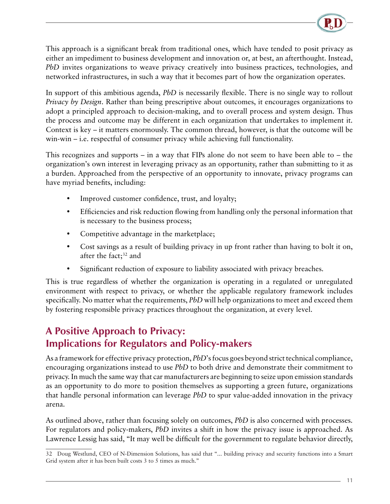

<span id="page-13-0"></span>This approach is a significant break from traditional ones, which have tended to posit privacy as either an impediment to business development and innovation or, at best, an afterthought. Instead, *PbD* invites organizations to weave privacy creatively into business practices, technologies, and networked infrastructures, in such a way that it becomes part of how the organization operates.

In support of this ambitious agenda, *PbD* is necessarily flexible. There is no single way to rollout *Privacy by Design*. Rather than being prescriptive about outcomes, it encourages organizations to adopt a principled approach to decision-making, and to overall process and system design. Thus the process and outcome may be different in each organization that undertakes to implement it. Context is key – it matters enormously. The common thread, however, is that the outcome will be win-win – i.e. respectful of consumer privacy while achieving full functionality.

This recognizes and supports – in a way that FIPs alone do not seem to have been able to – the organization's own interest in leveraging privacy as an opportunity, rather than submitting to it as a burden. Approached from the perspective of an opportunity to innovate, privacy programs can have myriad benefits, including:

- Improved customer confidence, trust, and loyalty;
- Efficiencies and risk reduction flowing from handling only the personal information that is necessary to the business process;
- Competitive advantage in the marketplace;
- Cost savings as a result of building privacy in up front rather than having to bolt it on, after the fact;<sup>32</sup> and
- Significant reduction of exposure to liability associated with privacy breaches.

This is true regardless of whether the organization is operating in a regulated or unregulated environment with respect to privacy, or whether the applicable regulatory framework includes specifically. No matter what the requirements, *PbD* will help organizations to meet and exceed them by fostering responsible privacy practices throughout the organization, at every level.

### **A Positive Approach to Privacy: Implications for Regulators and Policy-makers**

As a framework for effective privacy protection, *PbD*'s focus goes beyond strict technical compliance, encouraging organizations instead to use *PbD* to both drive and demonstrate their commitment to privacy. In much the same way that car manufacturers are beginning to seize upon emission standards as an opportunity to do more to position themselves as supporting a green future, organizations that handle personal information can leverage *PbD* to spur value-added innovation in the privacy arena.

As outlined above, rather than focusing solely on outcomes, *PbD* is also concerned with processes. For regulators and policy-makers, *PbD* invites a shift in how the privacy issue is approached. As Lawrence Lessig has said, "It may well be difficult for the government to regulate behavior directly,

<sup>32</sup> Doug Westlund, CEO of N-Dimension Solutions, has said that "... building privacy and security functions into a Smart Grid system after it has been built costs 3 to 5 times as much."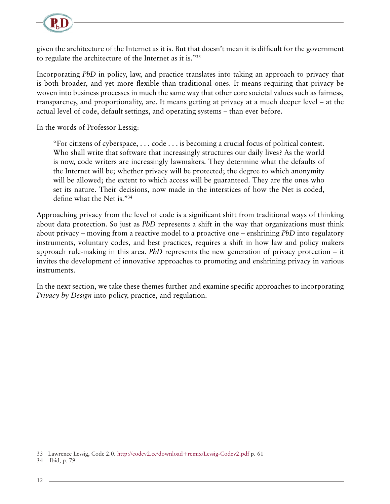

given the architecture of the Internet as it is. But that doesn't mean it is difficult for the government to regulate the architecture of the Internet as it is."33

Incorporating *PbD* in policy, law, and practice translates into taking an approach to privacy that is both broader, and yet more flexible than traditional ones. It means requiring that privacy be woven into business processes in much the same way that other core societal values such as fairness, transparency, and proportionality, are. It means getting at privacy at a much deeper level – at the actual level of code, default settings, and operating systems – than ever before.

In the words of Professor Lessig:

"For citizens of cyberspace, . . . code . . . is becoming a crucial focus of political contest. Who shall write that software that increasingly structures our daily lives? As the world is now, code writers are increasingly lawmakers. They determine what the defaults of the Internet will be; whether privacy will be protected; the degree to which anonymity will be allowed; the extent to which access will be guaranteed. They are the ones who set its nature. Their decisions, now made in the interstices of how the Net is coded, define what the Net is."34

Approaching privacy from the level of code is a significant shift from traditional ways of thinking about data protection. So just as *PbD* represents a shift in the way that organizations must think about privacy – moving from a reactive model to a proactive one – enshrining *PbD* into regulatory instruments, voluntary codes, and best practices, requires a shift in how law and policy makers approach rule-making in this area. *PbD* represents the new generation of privacy protection – it invites the development of innovative approaches to promoting and enshrining privacy in various instruments.

In the next section, we take these themes further and examine specific approaches to incorporating *Privacy by Design* into policy, practice, and regulation.

<sup>33</sup> Lawrence Lessig, Code 2.0.<http://codev2.cc/download+remix/Lessig-Codev2.pdf> p. 61

<sup>34</sup> Ibid, p. 79.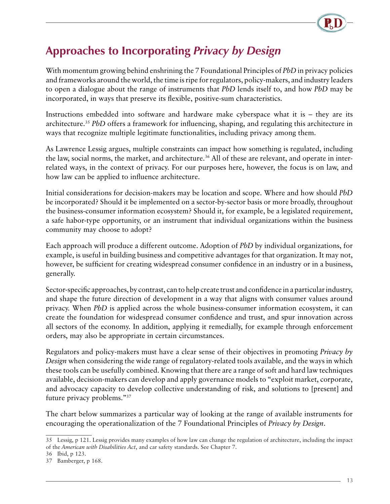

# <span id="page-15-0"></span>**Approaches to Incorporating** *Privacy by Design*

With momentum growing behind enshrining the 7 Foundational Principles of *PbD* in privacy policies and frameworks around the world, the time is ripe for regulators, policy-makers, and industry leaders to open a dialogue about the range of instruments that *PbD* lends itself to, and how *PbD* may be incorporated, in ways that preserve its flexible, positive-sum characteristics.

Instructions embedded into software and hardware make cyberspace what it is – they are its architecture.35 *PbD* offers a framework for influencing, shaping, and regulating this architecture in ways that recognize multiple legitimate functionalities, including privacy among them.

As Lawrence Lessig argues, multiple constraints can impact how something is regulated, including the law, social norms, the market, and architecture.<sup>36</sup> All of these are relevant, and operate in interrelated ways, in the context of privacy. For our purposes here, however, the focus is on law, and how law can be applied to influence architecture.

Initial considerations for decision-makers may be location and scope. Where and how should *PbD* be incorporated? Should it be implemented on a sector-by-sector basis or more broadly, throughout the business-consumer information ecosystem? Should it, for example, be a legislated requirement, a safe habor-type opportunity, or an instrument that individual organizations within the business community may choose to adopt?

Each approach will produce a different outcome. Adoption of *PbD* by individual organizations, for example, is useful in building business and competitive advantages for that organization. It may not, however, be sufficient for creating widespread consumer confidence in an industry or in a business, generally.

Sector-specific approaches, by contrast, can to help create trust and confidence in a particular industry, and shape the future direction of development in a way that aligns with consumer values around privacy. When *PbD* is applied across the whole business-consumer information ecosystem, it can create the foundation for widespread consumer confidence and trust, and spur innovation across all sectors of the economy. In addition, applying it remedially, for example through enforcement orders, may also be appropriate in certain circumstances.

Regulators and policy-makers must have a clear sense of their objectives in promoting *Privacy by Design* when considering the wide range of regulatory-related tools available, and the ways in which these tools can be usefully combined. Knowing that there are a range of soft and hard law techniques available, decision-makers can develop and apply governance models to "exploit market, corporate, and advocacy capacity to develop collective understanding of risk, and solutions to [present] and future privacy problems."37

The chart below summarizes a particular way of looking at the range of available instruments for encouraging the operationalization of the 7 Foundational Principles of *Privacy by Design*.

<sup>35</sup> Lessig, p 121. Lessig provides many examples of how law can change the regulation of architecture, including the impact of the *American with Disabilities Act*, and car safety standards. See Chapter 7.

<sup>36</sup> Ibid, p 123.

<sup>37</sup> Bamberger, p 168.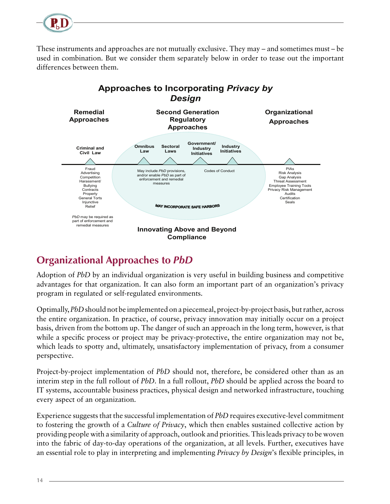<span id="page-16-0"></span>

These instruments and approaches are not mutually exclusive. They may – and sometimes must – be used in combination. But we consider them separately below in order to tease out the important differences between them.



### **Organizational Approaches to** *PbD*

Adoption of *PbD* by an individual organization is very useful in building business and competitive advantages for that organization. It can also form an important part of an organization's privacy program in regulated or self-regulated environments.

Optimally, *PbD* should not be implemented on a piecemeal, project-by-project basis, but rather, across the entire organization. In practice, of course, privacy innovation may initially occur on a project basis, driven from the bottom up. The danger of such an approach in the long term, however, is that while a specific process or project may be privacy-protective, the entire organization may not be, which leads to spotty and, ultimately, unsatisfactory implementation of privacy, from a consumer perspective.

Project-by-project implementation of *PbD* should not, therefore, be considered other than as an interim step in the full rollout of *PbD*. In a full rollout, *PbD* should be applied across the board to IT systems, accountable business practices, physical design and networked infrastructure, touching every aspect of an organization.

Experience suggests that the successful implementation of *PbD* requires executive-level commitment to fostering the growth of a *Culture of Privacy*, which then enables sustained collective action by providing people with a similarity of approach, outlook and priorities. This leads privacy to be woven into the fabric of day-to-day operations of the organization, at all levels. Further, executives have an essential role to play in interpreting and implementing *Privacy by Design*'s flexible principles, in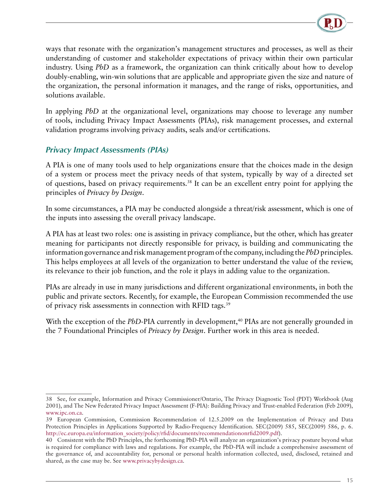

<span id="page-17-0"></span>ways that resonate with the organization's management structures and processes, as well as their understanding of customer and stakeholder expectations of privacy within their own particular industry. Using *PbD* as a framework, the organization can think critically about how to develop doubly-enabling, win-win solutions that are applicable and appropriate given the size and nature of the organization, the personal information it manages, and the range of risks, opportunities, and solutions available.

In applying *PbD* at the organizational level, organizations may choose to leverage any number of tools, including Privacy Impact Assessments (PIAs), risk management processes, and external validation programs involving privacy audits, seals and/or certifications.

#### *Privacy Impact Assessments (PIAs)*

A PIA is one of many tools used to help organizations ensure that the choices made in the design of a system or process meet the privacy needs of that system, typically by way of a directed set of questions, based on privacy requirements.38 It can be an excellent entry point for applying the principles of *Privacy by Design*.

In some circumstances, a PIA may be conducted alongside a threat/risk assessment, which is one of the inputs into assessing the overall privacy landscape.

A PIA has at least two roles: one is assisting in privacy compliance, but the other, which has greater meaning for participants not directly responsible for privacy, is building and communicating the information governance and risk management program of the company, including the *PbD* principles. This helps employees at all levels of the organization to better understand the value of the review, its relevance to their job function, and the role it plays in adding value to the organization.

PIAs are already in use in many jurisdictions and different organizational environments, in both the public and private sectors. Recently, for example, the European Commission recommended the use of privacy risk assessments in connection with RFID tags.39

With the exception of the *PbD*-PIA currently in development,<sup>40</sup> PIAs are not generally grounded in the 7 Foundational Principles of *Privacy by Design*. Further work in this area is needed.

<sup>38</sup> See, for example, Information and Privacy Commissioner/Ontario, The Privacy Diagnostic Tool (PDT) Workbook (Aug 2001), and The New Federated Privacy Impact Assessment (F-PIA): Building Privacy and Trust-enabled Federation (Feb 2009), [www.ipc.on.ca.](file://IPC-SRV-FS01/DOC/Publish/Comm/ENGLISH/papers/www.ipc.on.ca)

<sup>39</sup> European Commission, Commission Recommendation of 12.5.2009 on the Implementation of Privacy and Data Protection Principles in Applications Supported by Radio-Frequency Identification. SEC(2009) 585, SEC(2009) 586, p. 6. [http://ec.europa.eu/information\\_society/policy/rfid/documents/recommendationonrfid2009.pdf\)](http://ec.europa.eu/information_society/policy/rfid/documents/recommendationonrfid2009.pdf).

<sup>40</sup> Consistent with the PbD Principles, the forthcoming PbD-PIA will analyze an organization's privacy posture beyond what is required for compliance with laws and regulations. For example, the PbD-PIA will include a comprehensive assessment of the governance of, and accountability for, personal or personal health information collected, used, disclosed, retained and shared, as the case may be. See [www.privacybydesign.ca](http://www.privacybydesign.ca).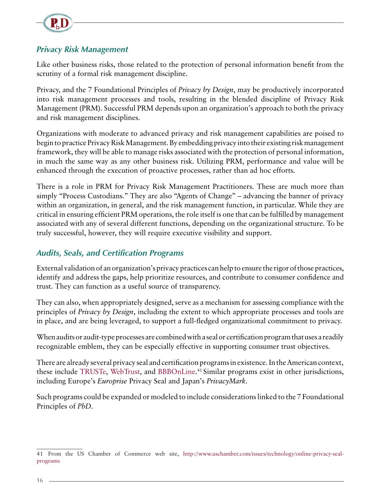<span id="page-18-0"></span>

#### *Privacy Risk Management*

Like other business risks, those related to the protection of personal information benefit from the scrutiny of a formal risk management discipline.

Privacy, and the 7 Foundational Principles of *Privacy by Design*, may be productively incorporated into risk management processes and tools, resulting in the blended discipline of Privacy Risk Management (PRM). Successful PRM depends upon an organization's approach to both the privacy and risk management disciplines.

Organizations with moderate to advanced privacy and risk management capabilities are poised to begin to practice Privacy Risk Management. By embedding privacy into their existing risk management framework, they will be able to manage risks associated with the protection of personal information, in much the same way as any other business risk. Utilizing PRM, performance and value will be enhanced through the execution of proactive processes, rather than ad hoc efforts.

There is a role in PRM for Privacy Risk Management Practitioners. These are much more than simply "Process Custodians." They are also "Agents of Change" – advancing the banner of privacy within an organization, in general, and the risk management function, in particular. While they are critical in ensuring efficient PRM operations, the role itself is one that can be fulfilled by management associated with any of several different functions, depending on the organizational structure. To be truly successful, however, they will require executive visibility and support.

#### *Audits, Seals, and Certification Programs*

External validation of an organization's privacy practices can help to ensure the rigor of those practices, identify and address the gaps, help prioritize resources, and contribute to consumer confidence and trust. They can function as a useful source of transparency.

They can also, when appropriately designed, serve as a mechanism for assessing compliance with the principles of *Privacy by Design*, including the extent to which appropriate processes and tools are in place, and are being leveraged, to support a full-fledged organizational commitment to privacy.

When audits or audit-type processes are combined with a seal or certification program that uses a readily recognizable emblem, they can be especially effective in supporting consumer trust objectives.

There are already several privacy seal and certification programs in existence. In the American context, these include [TRUSTe,](http://www.truste.org) [WebTrust,](http://www.webtrust.net) and [BBBOnLine.](http://www.bbbonline.org) 41 Similar programs exist in other jurisdictions, including Europe's *Europrise* Privacy Seal and Japan's *PrivacyMark*.

Such programs could be expanded or modeled to include considerations linked to the 7 Foundational Principles of *PbD*.

<sup>41</sup> From the US Chamber of Commerce web site, [http://www.uschamber.com/issues/technology/online-privacy-seal](http://www.uschamber.com/issues/technology/online-privacy-seal-programs)[programs](http://www.uschamber.com/issues/technology/online-privacy-seal-programs)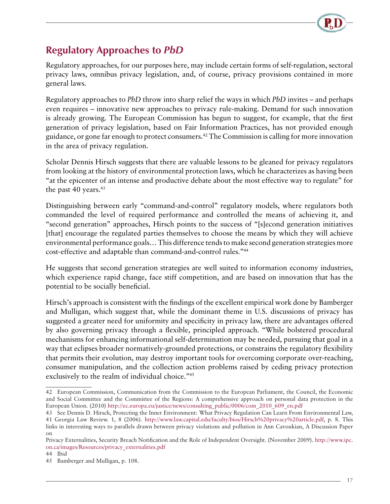

### <span id="page-19-0"></span>**Regulatory Approaches to** *PbD*

Regulatory approaches, for our purposes here, may include certain forms of self-regulation, sectoral privacy laws, omnibus privacy legislation, and, of course, privacy provisions contained in more general laws.

Regulatory approaches to *PbD* throw into sharp relief the ways in which *PbD* invites – and perhaps even requires – innovative new approaches to privacy rule-making. Demand for such innovation is already growing. The European Commission has begun to suggest, for example, that the first generation of privacy legislation, based on Fair Information Practices, has not provided enough guidance, or gone far enough to protect consumers.42 The Commission is calling for more innovation in the area of privacy regulation.

Scholar Dennis Hirsch suggests that there are valuable lessons to be gleaned for privacy regulators from looking at the history of environmental protection laws, which he characterizes as having been "at the epicenter of an intense and productive debate about the most effective way to regulate" for the past  $40$  years.<sup>43</sup>

Distinguishing between early "command-and-control" regulatory models, where regulators both commanded the level of required performance and controlled the means of achieving it, and "second generation" approaches, Hirsch points to the success of "[s]econd generation initiatives [that] encourage the regulated parties themselves to choose the means by which they will achieve environmental performance goals… This difference tends to make second generation strategies more cost-effective and adaptable than command-and-control rules."44

He suggests that second generation strategies are well suited to information economy industries, which experience rapid change, face stiff competition, and are based on innovation that has the potential to be socially beneficial.

Hirsch's approach is consistent with the findings of the excellent empirical work done by Bamberger and Mulligan, which suggest that, while the dominant theme in U.S. discussions of privacy has suggested a greater need for uniformity and specificity in privacy law, there are advantages offered by also governing privacy through a flexible, principled approach. "While bolstered procedural mechanisms for enhancing informational self-determination may be needed, pursuing that goal in a way that eclipses broader normatively-grounded protections, or constrains the regulatory flexibility that permits their evolution, may destroy important tools for overcoming corporate over-reaching, consumer manipulation, and the collection action problems raised by ceding privacy protection exclusively to the realm of individual choice."<sup>45</sup>

<sup>42</sup> European Commission, Communication from the Commission to the European Parliament, the Council, the Economic and Social Committee and the Committee of the Regions: A comprehensive approach on personal data protection in the European Union. (2010) [http://ec.europa.eu/justice/news/consulting\\_public/0006/com\\_2010\\_609\\_en.pdf](http://ec.europa.eu/justice/news/consulting_public/0006/com_2010_609_en.pdf)

<sup>43</sup> See Dennis D. Hirsch, Protecting the Inner Environment: What Privacy Regulation Can Learn From Environmental Law, 41 Georgia Law Review. 1, 8 (2006). [http://www.law.capital.edu/faculty/bios/Hirsch%20privacy%20article.pdf](http://www.law.capital.edu/faculty/bios/Hirsch privacy article.pdf), p. 8. This links in interesting ways to parallels drawn between privacy violations and pollution in Ann Cavoukian, A Discussion Paper on

Privacy Externalities, Security Breach Notification and the Role of Independent Oversight. (November 2009). [http://www.ipc.](http://www.ipc.on.ca/images/Resources/privacy_externalities.pdf) [on.ca/images/Resources/privacy\\_externalities.pdf](http://www.ipc.on.ca/images/Resources/privacy_externalities.pdf)

<sup>44</sup> Ibid

<sup>45</sup> Bamberger and Mulligan, p. 108.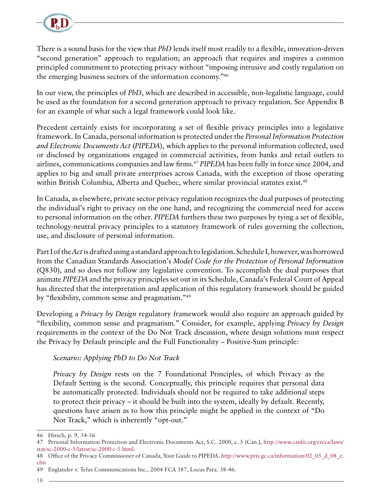

There is a sound basis for the view that *PbD* lends itself most readily to a flexible, innovation-driven "second generation" approach to regulation; an approach that requires and inspires a common principled commitment to protecting privacy without "imposing intrusive and costly regulation on the emerging business sectors of the information economy."46

In our view, the principles of *PbD*, which are described in accessible, non-legalistic language, could be used as the foundation for a second generation approach to privacy regulation. See Appendix B for an example of what such a legal framework could look like.

Precedent certainly exists for incorporating a set of flexible privacy principles into a legislative framework. In Canada, personal information is protected under the *Personal Information Protection and Electronic Documents Act* (*PIPEDA*), which applies to the personal information collected, used or disclosed by organizations engaged in commercial activities, from banks and retail outlets to airlines, communications companies and law firms.47 *PIPEDA* has been fully in force since 2004, and applies to big and small private enterprises across Canada, with the exception of those operating within British Columbia, Alberta and Quebec, where similar provincial statutes exist.<sup>48</sup>

In Canada, as elsewhere, private sector privacy regulation recognizes the dual purposes of protecting the individual's right to privacy on the one hand, and recognizing the commercial need for access to personal information on the other. *PIPEDA* furthers these two purposes by tying a set of flexible, technology-neutral privacy principles to a statutory framework of rules governing the collection, use, and disclosure of personal information.

Part I of the *Act* is drafted using a standard approach to legislation. Schedule I, however, was borrowed from the Canadian Standards Association's *Model Code for the Protection of Personal Information* (Q830), and so does not follow any legislative convention. To accomplish the dual purposes that animate *PIPEDA* and the privacy principles set out in its Schedule, Canada's Federal Court of Appeal has directed that the interpretation and application of this regulatory framework should be guided by "flexibility, common sense and pragmatism."49

Developing a *Privacy by Design* regulatory framework would also require an approach guided by "flexibility, common sense and pragmatism." Consider, for example, applying *Privacy by Design* requirements in the context of the Do Not Track discussion, where design solutions must respect the Privacy by Default principle and the Full Functionality – Positive-Sum principle:

#### *Scenario: Applying PbD to Do Not Track*

*Privacy by Design* rests on the 7 Foundational Principles, of which Privacy as the Default Setting is the second. Conceptually, this principle requires that personal data be automatically protected. Individuals should not be required to take additional steps to protect their privacy – it should be built into the system, ideally by default. Recently, questions have arisen as to how this principle might be applied in the context of "Do Not Track," which is inherently "opt-out."

<sup>46</sup> Hirsch, p. 9, 34-36

<sup>47</sup> Personal Information Protection and Electronic Documents Act, S.C. 2000, c. 5 (Can.), [http://www.canlii.org/en/ca/laws/](http://www.canlii.org/en/ca/laws/stat/sc-2000-c-5/latest/sc-2000-c-5.html) [stat/sc-2000-c-5/latest/sc-2000-c-5.html.](http://www.canlii.org/en/ca/laws/stat/sc-2000-c-5/latest/sc-2000-c-5.html)

<sup>48</sup> Office of the Privacy Commissioner of Canada, Your Guide to PIPEDA. [http://www.priv.gc.ca/information/02\\_05\\_d\\_08\\_e.](http://www.priv.gc.ca/information/02_05_d_08_e.cfm) [cfm](http://www.priv.gc.ca/information/02_05_d_08_e.cfm)

<sup>49</sup> Englander v. Telus Communications Inc., 2004 FCA 387, Locus Para. 38-46.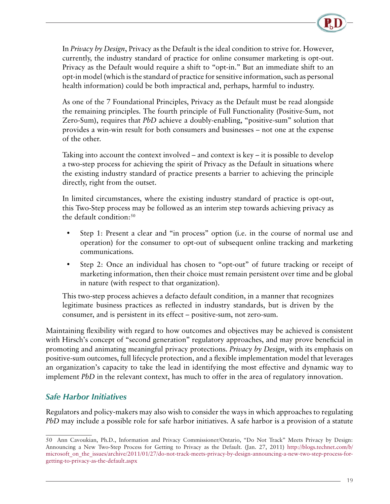<span id="page-21-0"></span>In *Privacy by Design*, Privacy as the Default is the ideal condition to strive for. However, currently, the industry standard of practice for online consumer marketing is opt-out. Privacy as the Default would require a shift to "opt-in." But an immediate shift to an opt-in model (which is the standard of practice for sensitive information, such as personal health information) could be both impractical and, perhaps, harmful to industry.

As one of the 7 Foundational Principles, Privacy as the Default must be read alongside the remaining principles. The fourth principle of Full Functionality (Positive-Sum, not Zero-Sum), requires that *PbD* achieve a doubly-enabling, "positive-sum" solution that provides a win-win result for both consumers and businesses – not one at the expense of the other.

Taking into account the context involved – and context is  $key - it$  is possible to develop a two-step process for achieving the spirit of Privacy as the Default in situations where the existing industry standard of practice presents a barrier to achieving the principle directly, right from the outset.

In limited circumstances, where the existing industry standard of practice is opt-out, this Two-Step process may be followed as an interim step towards achieving privacy as the default condition: $50$ 

- Step 1: Present a clear and "in process" option (i.e. in the course of normal use and operation) for the consumer to opt-out of subsequent online tracking and marketing communications.
- Step 2: Once an individual has chosen to "opt-out" of future tracking or receipt of marketing information, then their choice must remain persistent over time and be global in nature (with respect to that organization).

This two-step process achieves a defacto default condition, in a manner that recognizes legitimate business practices as reflected in industry standards, but is driven by the consumer, and is persistent in its effect – positive-sum, not zero-sum.

Maintaining flexibility with regard to how outcomes and objectives may be achieved is consistent with Hirsch's concept of "second generation" regulatory approaches, and may prove beneficial in promoting and animating meaningful privacy protections. *Privacy by Design*, with its emphasis on positive-sum outcomes, full lifecycle protection, and a flexible implementation model that leverages an organization's capacity to take the lead in identifying the most effective and dynamic way to implement *PbD* in the relevant context, has much to offer in the area of regulatory innovation.

#### *Safe Harbor Initiatives*

Regulators and policy-makers may also wish to consider the ways in which approaches to regulating *PbD* may include a possible role for safe harbor initiatives. A safe harbor is a provision of a statute

<sup>50</sup> Ann Cavoukian, Ph.D., Information and Privacy Commissioner/Ontario, "Do Not Track" Meets Privacy by Design: Announcing a New Two-Step Process for Getting to Privacy as the Default. (Jan. 27, 2011) [http://blogs.technet.com/b/](http://blogs.technet.com/b/microsoft_on_the_issues/archive/2011/01/27/do-not-track-meets-privacy-by-design-announcing-a-new-two-step-process-for-getting-to-privacy-as-the-default.aspx ) microsoft on the issues/archive/2011/01/27/do-not-track-meets-privacy-by-design-announcing-a-new-two-step-process-for[getting-to-privacy-as-the-default.aspx](http://blogs.technet.com/b/microsoft_on_the_issues/archive/2011/01/27/do-not-track-meets-privacy-by-design-announcing-a-new-two-step-process-for-getting-to-privacy-as-the-default.aspx )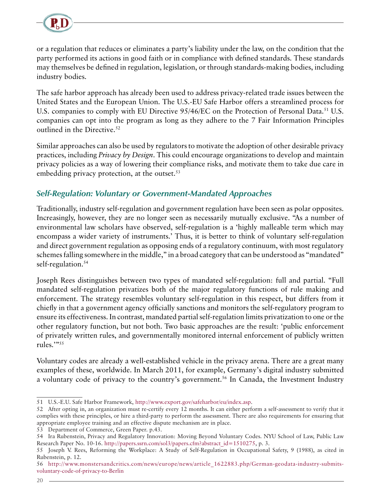<span id="page-22-0"></span>

or a regulation that reduces or eliminates a party's liability under the law, on the condition that the party performed its actions in good faith or in compliance with defined standards. These standards may themselves be defined in regulation, legislation, or through standards-making bodies, including industry bodies.

The safe harbor approach has already been used to address privacy-related trade issues between the United States and the European Union. The U.S.-EU Safe Harbor offers a streamlined process for U.S. companies to comply with EU Directive 95/46/EC on the Protection of Personal Data.<sup>51</sup> U.S. companies can opt into the program as long as they adhere to the 7 Fair Information Principles outlined in the Directive.<sup>52</sup>

Similar approaches can also be used by regulators to motivate the adoption of other desirable privacy practices, including *Privacy by Design*. This could encourage organizations to develop and maintain privacy policies as a way of lowering their compliance risks, and motivate them to take due care in embedding privacy protection, at the outset.<sup>53</sup>

#### *Self-Regulation: Voluntary or Government-Mandated Approaches*

Traditionally, industry self-regulation and government regulation have been seen as polar opposites. Increasingly, however, they are no longer seen as necessarily mutually exclusive. "As a number of environmental law scholars have observed, self-regulation is a 'highly malleable term which may encompass a wider variety of instruments.' Thus, it is better to think of voluntary self-regulation and direct government regulation as opposing ends of a regulatory continuum, with most regulatory schemes falling somewhere in the middle," in a broad category that can be understood as "mandated" self-regulation.<sup>54</sup>

Joseph Rees distinguishes between two types of mandated self-regulation: full and partial. "Full mandated self-regulation privatizes both of the major regulatory functions of rule making and enforcement. The strategy resembles voluntary self-regulation in this respect, but differs from it chiefly in that a government agency officially sanctions and monitors the self-regulatory program to ensure its effectiveness. In contrast, mandated partial self-regulation limits privatization to one or the other regulatory function, but not both. Two basic approaches are the result: 'public enforcement of privately written rules, and governmentally monitored internal enforcement of publicly written rules.'"55

Voluntary codes are already a well-established vehicle in the privacy arena. There are a great many examples of these, worldwide. In March 2011, for example, Germany's digital industry submitted a voluntary code of privacy to the country's government.<sup>56</sup> In Canada, the Investment Industry

<sup>51</sup> U.S.-E.U. Safe Harbor Framework,<http://www.export.gov/safeharbor/eu/index.asp>.

<sup>52</sup> After opting in, an organization must re-certify every 12 months. It can either perform a self-assessment to verify that it complies with these principles, or hire a third-party to perform the assessment. There are also requirements for ensuring that appropriate employee training and an effective dispute mechanism are in place.

<sup>53</sup> Department of Commerce, Green Paper. p.43.

<sup>54</sup> Ira Rubenstein, Privacy and Regulatory Innovation: Moving Beyond Voluntary Codes. NYU School of Law, Public Law Research Paper No. 10-16. [http://papers.ssrn.com/sol3/papers.cfm?abstract\\_id=1510275](http://papers.ssrn.com/sol3/papers.cfm?abstract_id=1510275), p. 3.

<sup>55</sup> Joseph V. Rees, Reforming the Workplace: A Study of Self-Regulation in Occupational Safety, 9 (1988), as cited in Rubenstein, p. 12.

<sup>56</sup> [http://www.monstersandcritics.com/news/europe/news/article\\_1622883.php/German-geodata-industry-submits](http://www.monstersandcritics.com/news/europe/news/article_1622883.php/German-geodata-industry-submits-voluntary-code-of-privacy-to-Berlin)[voluntary-code-of-privacy-to-Berlin](http://www.monstersandcritics.com/news/europe/news/article_1622883.php/German-geodata-industry-submits-voluntary-code-of-privacy-to-Berlin)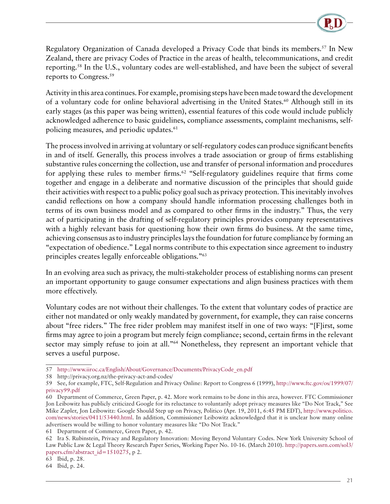

Regulatory Organization of Canada developed a Privacy Code that binds its members.<sup>57</sup> In New Zealand, there are privacy Codes of Practice in the areas of health, telecommunications, and credit reporting.58 In the U.S., voluntary codes are well-established, and have been the subject of several reports to Congress.59

Activity in this area continues. For example, promising steps have been made toward the development of a voluntary code for online behavioral advertising in the United States.<sup>60</sup> Although still in its early stages (as this paper was being written), essential features of this code would include publicly acknowledged adherence to basic guidelines, compliance assessments, complaint mechanisms, selfpolicing measures, and periodic updates.<sup>61</sup>

The process involved in arriving at voluntary or self-regulatory codes can produce significant benefits in and of itself. Generally, this process involves a trade association or group of firms establishing substantive rules concerning the collection, use and transfer of personal information and procedures for applying these rules to member firms.<sup>62</sup> "Self-regulatory guidelines require that firms come together and engage in a deliberate and normative discussion of the principles that should guide their activities with respect to a public policy goal such as privacy protection. This inevitably involves candid reflections on how a company should handle information processing challenges both in terms of its own business model and as compared to other firms in the industry." Thus, the very act of participating in the drafting of self-regulatory principles provides company representatives with a highly relevant basis for questioning how their own firms do business. At the same time, achieving consensus as to industry principles lays the foundation for future compliance by forming an "expectation of obedience." Legal norms contribute to this expectation since agreement to industry principles creates legally enforceable obligations."63

In an evolving area such as privacy, the multi-stakeholder process of establishing norms can present an important opportunity to gauge consumer expectations and align business practices with them more effectively.

Voluntary codes are not without their challenges. To the extent that voluntary codes of practice are either not mandated or only weakly mandated by government, for example, they can raise concerns about "free riders." The free rider problem may manifest itself in one of two ways: "[F]irst, some firms may agree to join a program but merely feign compliance; second, certain firms in the relevant sector may simply refuse to join at all."<sup>64</sup> Nonetheless, they represent an important vehicle that serves a useful purpose.

<sup>57</sup> [http://www.iiroc.ca/English/About/Governance/Documents/PrivacyCode\\_en.pdf](http://www.iiroc.ca/English/About/Governance/Documents/PrivacyCode_en.pdf)

<sup>58</sup> [http://privacy.org.nz/the-privacy-act-and-codes/](http://codev2.cc/download+remix/Lessig-Codev2.pdf)

<sup>59</sup> See, for example, FTC, Self-Regulation and Privacy Online: Report to Congress 6 (1999), [http://www.ftc.gov/os/1999/07/](http://www.ftc.gov/os/1999/07/privacy99.pdf) [privacy99.pdf](http://www.ftc.gov/os/1999/07/privacy99.pdf)

<sup>60</sup> Department of Commerce, Green Paper, p. 42. More work remains to be done in this area, however. FTC Commissioner Jon Leibowitz has publicly criticized Google for its reluctance to voluntarily adopt privacy measures like "Do Not Track," See Mike Zapler, Jon Leibowitz: Google Should Step up on Privacy, Politico (Apr. 19, 2011, 6:45 PM EDT), [http://www.politico.](http://www.politico.com/news/stories/0411/53440.html) [com/news/stories/0411/53440.html.](http://www.politico.com/news/stories/0411/53440.html) In addition, Commissioner Leibowitz acknowledged that it is unclear how many online advertisers would be willing to honor voluntary measures like "Do Not Track."

<sup>61</sup> Department of Commerce, Green Paper, p. 42.

<sup>62</sup> Ira S. Rubinstein, Privacy and Regulatory Innovation: Moving Beyond Voluntary Codes. New York University School of Law Public Law & Legal Theory Research Paper Series, Working Paper No. 10-16. (March 2010). [http://papers.ssrn.com/sol3/](http://papers.ssrn.com/sol3/papers.cfm?abstract_id=1510275) [papers.cfm?abstract\\_id=1510275,](http://papers.ssrn.com/sol3/papers.cfm?abstract_id=1510275) p 2.

<sup>63</sup> Ibid, p. 28.

<sup>64</sup> Ibid, p. 24.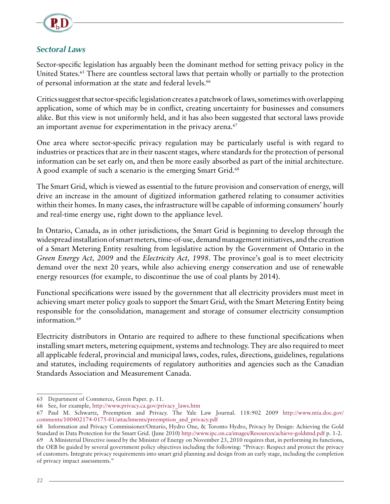<span id="page-24-0"></span>

#### *Sectoral Laws*

Sector-specific legislation has arguably been the dominant method for setting privacy policy in the United States.<sup>65</sup> There are countless sectoral laws that pertain wholly or partially to the protection of personal information at the state and federal levels.<sup>66</sup>

Critics suggest that sector-specific legislation creates a patchwork of laws, sometimes with overlapping application, some of which may be in conflict, creating uncertainty for businesses and consumers alike. But this view is not uniformly held, and it has also been suggested that sectoral laws provide an important avenue for experimentation in the privacy arena.<sup>67</sup>

One area where sector-specific privacy regulation may be particularly useful is with regard to industries or practices that are in their nascent stages, where standards for the protection of personal information can be set early on, and then be more easily absorbed as part of the initial architecture. A good example of such a scenario is the emerging Smart Grid.<sup>68</sup>

The Smart Grid, which is viewed as essential to the future provision and conservation of energy, will drive an increase in the amount of digitized information gathered relating to consumer activities within their homes. In many cases, the infrastructure will be capable of informing consumers' hourly and real-time energy use, right down to the appliance level.

In Ontario, Canada, as in other jurisdictions, the Smart Grid is beginning to develop through the widespread installation of smart meters, time-of-use, demand management initiatives, and the creation of a Smart Metering Entity resulting from legislative action by the Government of Ontario in the *Green Energy Act, 2009* and the *Electricity Act, 1998*. The province's goal is to meet electricity demand over the next 20 years, while also achieving energy conservation and use of renewable energy resources (for example, to discontinue the use of coal plants by 2014).

Functional specifications were issued by the government that all electricity providers must meet in achieving smart meter policy goals to support the Smart Grid, with the Smart Metering Entity being responsible for the consolidation, management and storage of consumer electricity consumption information.<sup>69</sup>

Electricity distributors in Ontario are required to adhere to these functional specifications when installing smart meters, metering equipment, systems and technology. They are also required to meet all applicable federal, provincial and municipal laws, codes, rules, directions, guidelines, regulations and statutes, including requirements of regulatory authorities and agencies such as the Canadian Standards Association and Measurement Canada.

<sup>65</sup> Department of Commerce, Green Paper. p. 11.

<sup>66</sup> See, for example, [http://www.privacy.ca.gov/privacy\\_laws.htm](http://www.privacy.ca.gov/privacy_laws.htm)

<sup>67</sup> Paul M. Schwartz, Preemption and Privacy. The Yale Law Journal. 118:902 2009 [http://www.ntia.doc.gov/](http://www.ntia.doc.gov/comments/100402174-0175-01/attachments/preemption_and_privacy.pdf) [comments/100402174-0175-01/attachments/preemption\\_and\\_privacy.pdf](http://www.ntia.doc.gov/comments/100402174-0175-01/attachments/preemption_and_privacy.pdf)

<sup>68</sup> Information and Privacy Commissioner/Ontario, Hydro One, & Toronto Hydro, Privacy by Design: Achieving the Gold Standard in Data Protection for the Smart Grid. (June 2010)<http://www.ipc.on.ca/images/Resources/achieve-goldstnd.pdf> p. 1-2.

<sup>69</sup> A Ministerial Directive issued by the Minister of Energy on November 23, 2010 requires that, in performing its functions, the OEB be guided by several government policy objectives including the following: "Privacy: Respect and protect the privacy of customers. Integrate privacy requirements into smart grid planning and design from an early stage, including the completion of privacy impact assessments."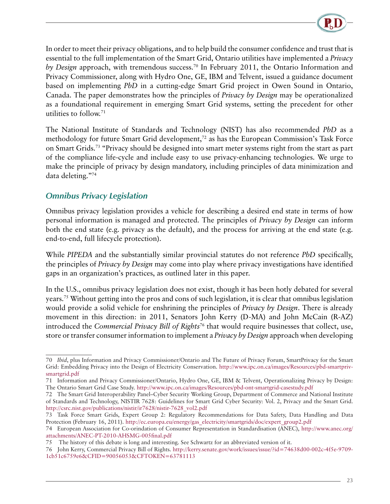

<span id="page-25-0"></span>In order to meet their privacy obligations, and to help build the consumer confidence and trust that is essential to the full implementation of the Smart Grid, Ontario utilities have implemented a *Privacy by Design* approach, with tremendous success.70 In February 2011, the Ontario Information and Privacy Commissioner, along with Hydro One, GE, IBM and Telvent, issued a guidance document based on implementing *PbD* in a cutting-edge Smart Grid project in Owen Sound in Ontario, Canada. The paper demonstrates how the principles of *Privacy by Design* may be operationalized as a foundational requirement in emerging Smart Grid systems, setting the precedent for other utilities to follow.71

The National Institute of Standards and Technology (NIST) has also recommended *PbD* as a methodology for future Smart Grid development,<sup>72</sup> as has the European Commission's Task Force on Smart Grids.73 "Privacy should be designed into smart meter systems right from the start as part of the compliance life-cycle and include easy to use privacy-enhancing technologies. We urge to make the principle of privacy by design mandatory, including principles of data minimization and data deleting."74

#### *Omnibus Privacy Legislation*

Omnibus privacy legislation provides a vehicle for describing a desired end state in terms of how personal information is managed and protected. The principles of *Privacy by Design* can inform both the end state (e.g. privacy as the default), and the process for arriving at the end state (e.g. end-to-end, full lifecycle protection).

While *PIPEDA* and the substantially similar provincial statutes do not reference *PbD* specifically, the principles of *Privacy by Design* may come into play where privacy investigations have identified gaps in an organization's practices, as outlined later in this paper.

In the U.S., omnibus privacy legislation does not exist, though it has been hotly debated for several years.75 Without getting into the pros and cons of such legislation, it is clear that omnibus legislation would provide a solid vehicle for enshrining the principles of *Privacy by Design*. There is already movement in this direction: in 2011, Senators John Kerry (D-MA) and John McCain (R-AZ) introduced the *Commercial Privacy Bill of Rights*76 that would require businesses that collect, use, store or transfer consumer information to implement a *Privacy by Design* approach when developing

<sup>70</sup> *Ibid*, plus Information and Privacy Commissioner/Ontario and The Future of Privacy Forum, SmartPrivacy for the Smart Grid: Embedding Privacy into the Design of Electricity Conservation. [http://www.ipc.on.ca/images/Resources/pbd-smartpriv](http://www.ipc.on.ca/images/Resources/pbd-smartpriv-smartgrid.pdf)[smartgrid.pdf](http://www.ipc.on.ca/images/Resources/pbd-smartpriv-smartgrid.pdf)

<sup>71</sup> Information and Privacy Commissioner/Ontario, Hydro One, GE, IBM & Telvent, Operationalizing Privacy by Design: The Ontario Smart Grid Case Study. <http://www.ipc.on.ca/images/Resources/pbd-ont-smartgrid-casestudy.pdf>

<sup>72</sup> The Smart Grid Interoperability Panel–Cyber Security Working Group, Department of Commerce and National Institute of Standards and Technology, NISTIR 7628: Guidelines for Smart Grid Cyber Security: Vol. 2, Privacy and the Smart Grid. [http://csrc.nist.gov/publications/nistir/ir7628/nistir-7628\\_vol2.pdf](http://csrc.nist.gov/publications/nistir/ir7628/nistir-7628_vol2.pdf)

<sup>73</sup> Task Force Smart Grids, Expert Group 2: Regulatory Recommendations for Data Safety, Data Handling and Data Protection (February 16, 2011). [http://ec.europa.eu/energy/gas\\_electricity/smartgrids/doc/expert\\_group2.pdf](http://ec.europa.eu/energy/gas_electricity/smartgrids/doc/expert_group2.pdf)

<sup>74</sup> European Association for Co-orindation of Consumer Representation in Standardisation (ANEC), [http://www.anec.org/](http://www.anec.org/attachments/ANEC-PT-2010-AHSMG-005final.pdf) [attachments/ANEC-PT-2010-AHSMG-005final.pdf](http://www.anec.org/attachments/ANEC-PT-2010-AHSMG-005final.pdf)

<sup>75</sup> The history of this debate is long and interesting. See Schwartz for an abbreviated version of it.

<sup>76</sup> John Kerry, Commercial Privacy Bill of Rights. [http://kerry.senate.gov/work/issues/issue/?id=74638d00-002c-4f5e-9709-](http://kerry.senate.gov/work/issues/issue/?id=74638d00-002c-4f5e-9709-1cb51c6759e6&CFID=90056053&CFTOKEN=63781113) [1cb51c6759e6&CFID=90056053&CFTOKEN=63781113](http://kerry.senate.gov/work/issues/issue/?id=74638d00-002c-4f5e-9709-1cb51c6759e6&CFID=90056053&CFTOKEN=63781113)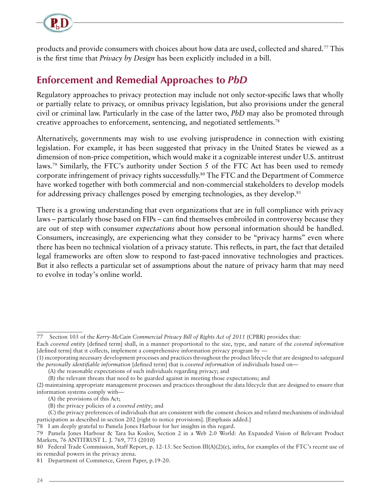<span id="page-26-0"></span>

products and provide consumers with choices about how data are used, collected and shared.77 This is the first time that *Privacy by Design* has been explicitly included in a bill.

### **Enforcement and Remedial Approaches to** *PbD*

Regulatory approaches to privacy protection may include not only sector-specific laws that wholly or partially relate to privacy, or omnibus privacy legislation, but also provisions under the general civil or criminal law. Particularly in the case of the latter two, *PbD* may also be promoted through creative approaches to enforcement, sentencing, and negotiated settlements.78

Alternatively, governments may wish to use evolving jurisprudence in connection with existing legislation. For example, it has been suggested that privacy in the United States be viewed as a dimension of non-price competition, which would make it a cognizable interest under U.S. antitrust laws.<sup>79</sup> Similarly, the FTC's authority under Section 5 of the FTC Act has been used to remedy corporate infringement of privacy rights successfully.80 The FTC and the Department of Commerce have worked together with both commercial and non-commercial stakeholders to develop models for addressing privacy challenges posed by emerging technologies, as they develop. $81$ 

There is a growing understanding that even organizations that are in full compliance with privacy laws – particularly those based on FIPs – can find themselves embroiled in controversy because they are out of step with consumer *expectations* about how personal information should be handled. Consumers, increasingly, are experiencing what they consider to be "privacy harms" even where there has been no technical violation of a privacy statute. This reflects, in part, the fact that detailed legal frameworks are often slow to respond to fast-paced innovative technologies and practices. But it also reflects a particular set of assumptions about the nature of privacy harm that may need to evolve in today's online world.

78 I am deeply grateful to Pamela Jones Harbour for her insights in this regard.

<sup>77</sup> Section 103 of the *Kerry-McCain Commercial Privacy Bill of Rights Act of 2011* (CPBR) provides that:

Each *covered entity* [defined term] shall, in a manner proportional to the size, type, and nature of the *covered information* [defined term] that it collects, implement a comprehensive information privacy program by —

<sup>(1)</sup> incorporating necessary development processes and practices throughout the product lifecycle that are designed to safeguard the *personally identifiable information* [defined term] that is *covered information* of individuals based on—

<sup>(</sup>A) the reasonable expectations of such individuals regarding privacy; and

<sup>(</sup>B) the relevant threats that need to be guarded against in meeting those expectations; and (2) maintaining appropriate management processes and practices throughout the data lifecycle that are designed to ensure that information systems comply with—

<sup>(</sup>A) the provisions of this Act;

<sup>(</sup>B) the privacy policies of a *covered entity*; and

<sup>(</sup>C) the privacy preferences of individuals that are consistent with the consent choices and related mechanisms of individual participation as described in section 202 [right to notice provisions]. [Emphasis added.]

<sup>79</sup> Pamela Jones Harbour & Tara Isa Koslov, Section 2 in a Web 2.0 World: An Expanded Vision of Relevant Product Markets, 76 ANTITRUST L. J. 769, 773 (2010)

<sup>80</sup> Federal Trade Commission, Staff Report, p. 12-13. See Section III(A)(2)(e), infra, for examples of the FTC's recent use of its remedial powers in the privacy arena.

<sup>81</sup> Department of Commerce, Green Paper, p.19-20.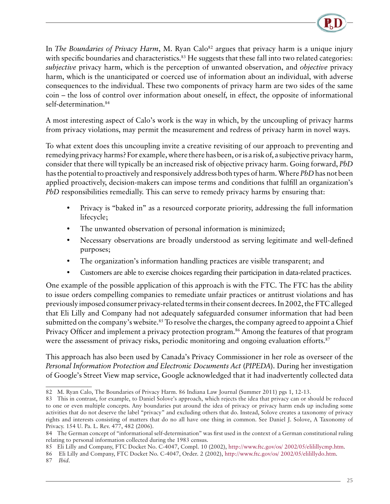

In *The Boundaries of Privacy Harm*, M. Ryan Calo<sup>82</sup> argues that privacy harm is a unique injury with specific boundaries and characteristics.<sup>83</sup> He suggests that these fall into two related categories: *subjective* privacy harm, which is the perception of unwanted observation, and *objective* privacy harm, which is the unanticipated or coerced use of information about an individual, with adverse consequences to the individual. These two components of privacy harm are two sides of the same coin – the loss of control over information about oneself, in effect, the opposite of informational self-determination.84

A most interesting aspect of Calo's work is the way in which, by the uncoupling of privacy harms from privacy violations, may permit the measurement and redress of privacy harm in novel ways.

To what extent does this uncoupling invite a creative revisiting of our approach to preventing and remedying privacy harms? For example, where there has been, or is a risk of, a subjective privacy harm, consider that there will typically be an increased risk of objective privacy harm. Going forward, *PbD* has the potential to proactively and responsively address both types of harm. Where *PbD* has not been applied proactively, decision-makers can impose terms and conditions that fulfill an organization's *PbD* responsibilities remedially. This can serve to remedy privacy harms by ensuring that:

- Privacy is "baked in" as a resourced corporate priority, addressing the full information lifecycle;
- The unwanted observation of personal information is minimized;
- Necessary observations are broadly understood as serving legitimate and well-defined purposes;
- The organization's information handling practices are visible transparent; and
- Customers are able to exercise choices regarding their participation in data-related practices.

One example of the possible application of this approach is with the FTC. The FTC has the ability to issue orders compelling companies to remediate unfair practices or antitrust violations and has previously imposed consumer privacy-related terms in their consent decrees. In 2002, the FTC alleged that Eli Lilly and Company had not adequately safeguarded consumer information that had been submitted on the company's website.<sup>85</sup> To resolve the charges, the company agreed to appoint a Chief Privacy Officer and implement a privacy protection program.<sup>86</sup> Among the features of that program were the assessment of privacy risks, periodic monitoring and ongoing evaluation efforts.<sup>87</sup>

This approach has also been used by Canada's Privacy Commissioner in her role as overseer of the *Personal Information Protection and Electronic Documents Act* (*PIPEDA*). During her investigation of Google's Street View map service, Google acknowledged that it had inadvertently collected data

<sup>82</sup> M. Ryan Calo, The Boundaries of Privacy Harm. 86 Indiana Law Journal (Summer 2011) pgs 1, 12-13.

<sup>83</sup> This in contrast, for example, to Daniel Solove's approach, which rejects the idea that privacy can or should be reduced to one or even multiple concepts. Any boundaries put around the idea of privacy or privacy harm ends up including some activities that do not deserve the label "privacy" and excluding others that do. Instead, Solove creates a taxonomy of privacy rights and interests consisting of matters that do no all have one thing in common. See Daniel J. Solove, A Taxonomy of Privacy. 154 U. Pa. L. Rev. 477, 482 (2006).

<sup>84</sup> The German concept of "informational self-determination" was first used in the context of a German constitutional ruling relating to personal information collected during the 1983 census.

<sup>85</sup> Eli Lilly and Company, FTC Docket No. C-4047, Compl. 10 (2002), [http://www.ftc.gov/os/ 2002/05/elilillycmp.htm.](http://www.ftc.gov/os/ 2002/05/elilillycmp.htm)

<sup>86</sup> Eli Lilly and Company, FTC Docket No. C-4047, Order. 2 (2002), <http://www.ftc.gov/os/ 2002/05/elilillydo.htm>.

<sup>87</sup> *Ibid*.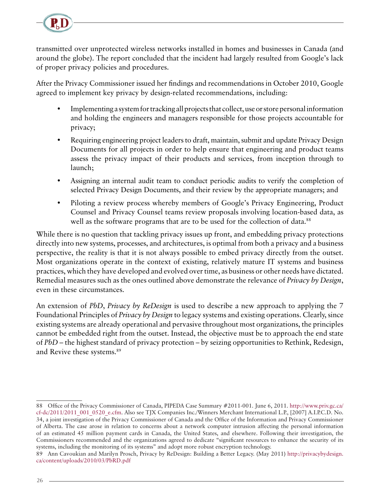

transmitted over unprotected wireless networks installed in homes and businesses in Canada (and around the globe). The report concluded that the incident had largely resulted from Google's lack of proper privacy policies and procedures.

After the Privacy Commissioner issued her findings and recommendations in October 2010, Google agreed to implement key privacy by design-related recommendations, including:

- Implementing a system for tracking all projects that collect, use or store personal information and holding the engineers and managers responsible for those projects accountable for privacy;
- Requiring engineering project leaders to draft, maintain, submit and update Privacy Design Documents for all projects in order to help ensure that engineering and product teams assess the privacy impact of their products and services, from inception through to launch;
- Assigning an internal audit team to conduct periodic audits to verify the completion of selected Privacy Design Documents, and their review by the appropriate managers; and
- Piloting a review process whereby members of Google's Privacy Engineering, Product Counsel and Privacy Counsel teams review proposals involving location-based data, as well as the software programs that are to be used for the collection of data.<sup>88</sup>

While there is no question that tackling privacy issues up front, and embedding privacy protections directly into new systems, processes, and architectures, is optimal from both a privacy and a business perspective, the reality is that it is not always possible to embed privacy directly from the outset. Most organizations operate in the context of existing, relatively mature IT systems and business practices, which they have developed and evolved over time, as business or other needs have dictated. Remedial measures such as the ones outlined above demonstrate the relevance of *Privacy by Design*, even in these circumstances.

An extension of *PbD*, *Privacy by ReDesign* is used to describe a new approach to applying the 7 Foundational Principles of *Privacy by Design* to legacy systems and existing operations. Clearly, since existing systems are already operational and pervasive throughout most organizations, the principles cannot be embedded right from the outset. Instead, the objective must be to approach the end state of *PbD* – the highest standard of privacy protection – by seizing opportunities to Rethink, Redesign, and Revive these systems.<sup>89</sup>

<sup>88</sup> Office of the Privacy Commissioner of Canada, PIPEDA Case Summary #2011-001. June 6, 2011. [http://www.priv.gc.ca/](http://www.priv.gc.ca/cf-dc/2011/2011_001_0520_e.cfm) [cf-dc/2011/2011\\_001\\_0520\\_e.cfm](http://www.priv.gc.ca/cf-dc/2011/2011_001_0520_e.cfm). Also see TJX Companies Inc./Winners Merchant International L.P., [2007] A.I.P.C.D. No. 34, a joint investigation of the Privacy Commissioner of Canada and the Office of the Information and Privacy Commissioner of Alberta. The case arose in relation to concerns about a network computer intrusion affecting the personal information of an estimated 45 million payment cards in Canada, the United States, and elsewhere. Following their investigation, the Commissioners recommended and the organizations agreed to dedicate "significant resources to enhance the security of its systems, including the monitoring of its systems" and adopt more robust encryption technology.

<sup>89</sup> Ann Cavoukian and Marilyn Prosch, Privacy by ReDesign: Building a Better Legacy. (May 2011) [http://privacybydesign.](http://privacybydesign.ca/content/uploads/2010/03/PbRD.pdf) [ca/content/uploads/2010/03/PbRD.pdf](http://privacybydesign.ca/content/uploads/2010/03/PbRD.pdf)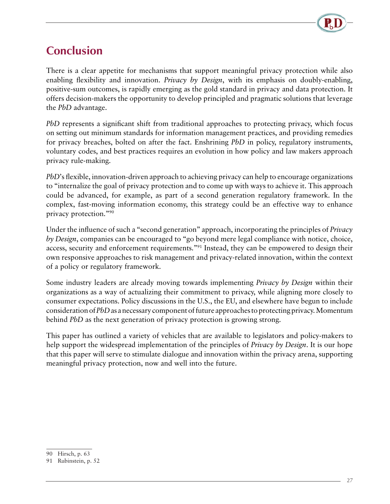

## <span id="page-29-0"></span>**Conclusion**

There is a clear appetite for mechanisms that support meaningful privacy protection while also enabling flexibility and innovation. *Privacy by Design*, with its emphasis on doubly-enabling, positive-sum outcomes, is rapidly emerging as the gold standard in privacy and data protection. It offers decision-makers the opportunity to develop principled and pragmatic solutions that leverage the *PbD* advantage.

*PbD* represents a significant shift from traditional approaches to protecting privacy, which focus on setting out minimum standards for information management practices, and providing remedies for privacy breaches, bolted on after the fact. Enshrining *PbD* in policy, regulatory instruments, voluntary codes, and best practices requires an evolution in how policy and law makers approach privacy rule-making.

*PbD*'s flexible, innovation-driven approach to achieving privacy can help to encourage organizations to "internalize the goal of privacy protection and to come up with ways to achieve it. This approach could be advanced, for example, as part of a second generation regulatory framework. In the complex, fast-moving information economy, this strategy could be an effective way to enhance privacy protection."90

Under the influence of such a "second generation" approach, incorporating the principles of *Privacy by Design*, companies can be encouraged to "go beyond mere legal compliance with notice, choice, access, security and enforcement requirements."91 Instead, they can be empowered to design their own responsive approaches to risk management and privacy-related innovation, within the context of a policy or regulatory framework.

Some industry leaders are already moving towards implementing *Privacy by Design* within their organizations as a way of actualizing their commitment to privacy, while aligning more closely to consumer expectations. Policy discussions in the U.S., the EU, and elsewhere have begun to include consideration of *PbD* as a necessary component of future approaches to protecting privacy. Momentum behind *PbD* as the next generation of privacy protection is growing strong.

This paper has outlined a variety of vehicles that are available to legislators and policy-makers to help support the widespread implementation of the principles of *Privacy by Design*. It is our hope that this paper will serve to stimulate dialogue and innovation within the privacy arena, supporting meaningful privacy protection, now and well into the future.

<sup>90</sup> Hirsch, p. 63

<sup>91</sup> Rubinstein, p. 52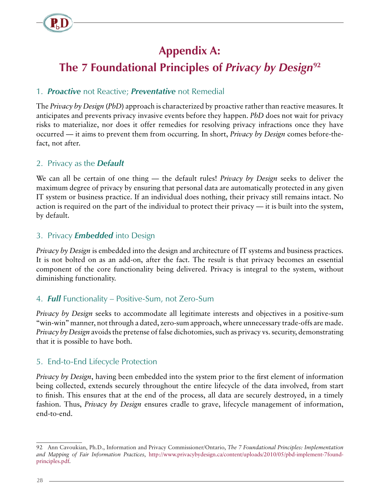<span id="page-30-0"></span>

# **Appendix A:**

# **The 7 Foundational Principles of** *Privacy by Design***<sup>92</sup>**

#### 1. *Proactive* not Reactive; *Preventative* not Remedial

The *Privacy by Design* (*PbD*) approach is characterized by proactive rather than reactive measures. It anticipates and prevents privacy invasive events before they happen. *PbD* does not wait for privacy risks to materialize, nor does it offer remedies for resolving privacy infractions once they have occurred — it aims to prevent them from occurring. In short, *Privacy by Design* comes before-thefact, not after.

#### 2. Privacy as the *Default*

We can all be certain of one thing — the default rules! *Privacy by Design* seeks to deliver the maximum degree of privacy by ensuring that personal data are automatically protected in any given IT system or business practice. If an individual does nothing, their privacy still remains intact. No action is required on the part of the individual to protect their privacy — it is built into the system, by default.

#### 3. Privacy *Embedded* into Design

*Privacy by Design* is embedded into the design and architecture of IT systems and business practices. It is not bolted on as an add-on, after the fact. The result is that privacy becomes an essential component of the core functionality being delivered. Privacy is integral to the system, without diminishing functionality.

#### 4. *Full* Functionality – Positive-Sum, not Zero-Sum

*Privacy by Design* seeks to accommodate all legitimate interests and objectives in a positive-sum "win-win" manner, not through a dated, zero-sum approach, where unnecessary trade-offs are made. *Privacy by Design* avoids the pretense of false dichotomies, such as privacy vs. security, demonstrating that it is possible to have both.

#### 5. End-to-End Lifecycle Protection

*Privacy by Design*, having been embedded into the system prior to the first element of information being collected, extends securely throughout the entire lifecycle of the data involved, from start to finish. This ensures that at the end of the process, all data are securely destroyed, in a timely fashion. Thus, *Privacy by Design* ensures cradle to grave, lifecycle management of information, end-to-end.

<sup>92</sup> Ann Cavoukian, Ph.D., Information and Privacy Commissioner/Ontario, *The 7 Foundational Principles: Implementation and Mapping of Fair Information Practices*, [http://www.privacybydesign.ca/content/uploads/2010/05/pbd-implement-7found](http://www.privacybydesign.ca/content/uploads/2010/05/pbd-implement-7found-principles.pdf)[principles.pdf.](http://www.privacybydesign.ca/content/uploads/2010/05/pbd-implement-7found-principles.pdf)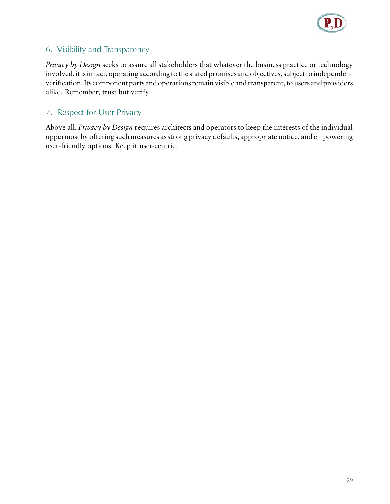

#### 6. Visibility and Transparency

*Privacy by Design* seeks to assure all stakeholders that whatever the business practice or technology involved, it is in fact, operating according to the stated promises and objectives, subject to independent verification. Its component parts and operations remain visible and transparent, to users and providers alike. Remember, trust but verify.

#### 7. Respect for User Privacy

Above all, *Privacy by Design* requires architects and operators to keep the interests of the individual uppermost by offering such measures as strong privacy defaults, appropriate notice, and empowering user-friendly options. Keep it user-centric.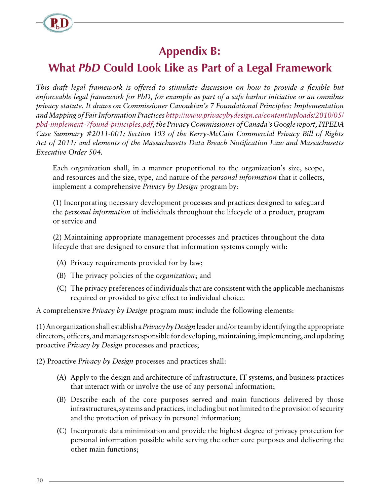<span id="page-32-0"></span>

# **Appendix B:**

# **What** *PbD* **Could Look Like as Part of a Legal Framework**

*This draft legal framework is offered to stimulate discussion on how to provide a flexible but enforceable legal framework for PbD, for example as part of a safe harbor initiative or an omnibus privacy statute. It draws on Commissioner Cavoukian's 7 Foundational Principles: Implementation and Mapping of Fair Information Practices [http://www.privacybydesign.ca/content/uploads/2010/05/](http://www.privacybydesign.ca/content/uploads/2010/05/pbd-implement-7found-principles.pdf) [pbd-implement-7found-principles.pdf;](http://www.privacybydesign.ca/content/uploads/2010/05/pbd-implement-7found-principles.pdf) the Privacy Commissioner of Canada's Google report, PIPEDA Case Summary #2011-001; Section 103 of the Kerry-McCain Commercial Privacy Bill of Rights Act of 2011; and elements of the Massachusetts Data Breach Notification Law and Massachusetts Executive Order 504.*

Each organization shall, in a manner proportional to the organization's size, scope, and resources and the size, type, and nature of the *personal information* that it collects, implement a comprehensive *Privacy by Design* program by:

(1) Incorporating necessary development processes and practices designed to safeguard the *personal information* of individuals throughout the lifecycle of a product, program or service and

(2) Maintaining appropriate management processes and practices throughout the data lifecycle that are designed to ensure that information systems comply with:

- (A) Privacy requirements provided for by law;
- (B) The privacy policies of the *organization*; and
- (C) The privacy preferences of individuals that are consistent with the applicable mechanisms required or provided to give effect to individual choice.

A comprehensive *Privacy by Design* program must include the following elements:

(1) An organization shall establish a *Privacy by Design* leader and/or team by identifying the appropriate directors, officers, and managers responsible for developing, maintaining, implementing, and updating proactive *Privacy by Design* processes and practices;

(2) Proactive *Privacy by Design* processes and practices shall:

- (A) Apply to the design and architecture of infrastructure, IT systems, and business practices that interact with or involve the use of any personal information;
- (B) Describe each of the core purposes served and main functions delivered by those infrastructures, systems and practices, including but not limited to the provision of security and the protection of privacy in personal information;
- (C) Incorporate data minimization and provide the highest degree of privacy protection for personal information possible while serving the other core purposes and delivering the other main functions;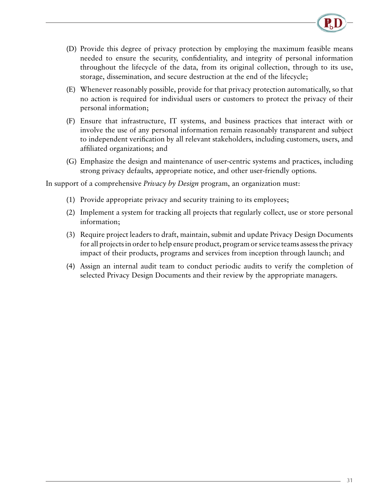

- (D) Provide this degree of privacy protection by employing the maximum feasible means needed to ensure the security, confidentiality, and integrity of personal information throughout the lifecycle of the data, from its original collection, through to its use, storage, dissemination, and secure destruction at the end of the lifecycle;
- (E) Whenever reasonably possible, provide for that privacy protection automatically, so that no action is required for individual users or customers to protect the privacy of their personal information;
- (F) Ensure that infrastructure, IT systems, and business practices that interact with or involve the use of any personal information remain reasonably transparent and subject to independent verification by all relevant stakeholders, including customers, users, and affiliated organizations; and
- (G) Emphasize the design and maintenance of user-centric systems and practices, including strong privacy defaults, appropriate notice, and other user-friendly options.

In support of a comprehensive *Privacy by Design* program, an organization must:

- (1) Provide appropriate privacy and security training to its employees;
- (2) Implement a system for tracking all projects that regularly collect, use or store personal information;
- (3) Require project leaders to draft, maintain, submit and update Privacy Design Documents for all projects in order to help ensure product, program or service teams assess the privacy impact of their products, programs and services from inception through launch; and
- (4) Assign an internal audit team to conduct periodic audits to verify the completion of selected Privacy Design Documents and their review by the appropriate managers.